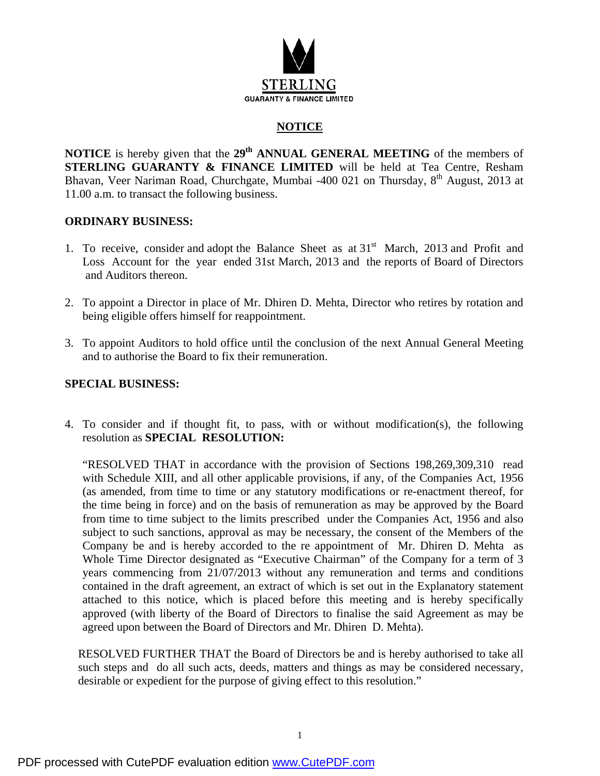

### **NOTICE**

**NOTICE** is hereby given that the 29<sup>th</sup> ANNUAL GENERAL MEETING of the members of **STERLING GUARANTY & FINANCE LIMITED** will be held at Tea Centre, Resham Bhavan, Veer Nariman Road, Churchgate, Mumbai -400 021 on Thursday, 8<sup>th</sup> August, 2013 at 11.00 a.m. to transact the following business.

### **ORDINARY BUSINESS:**

- 1. To receive, consider and adopt the Balance Sheet as at  $31<sup>st</sup>$  March, 2013 and Profit and Loss Account for the year ended 31st March, 2013 and the reports of Board of Directors and Auditors thereon.
- 2. To appoint a Director in place of Mr. Dhiren D. Mehta, Director who retires by rotation and being eligible offers himself for reappointment.
- 3. To appoint Auditors to hold office until the conclusion of the next Annual General Meeting and to authorise the Board to fix their remuneration.

### **SPECIAL BUSINESS:**

4. To consider and if thought fit, to pass, with or without modification(s), the following resolution as **SPECIAL RESOLUTION:** 

"RESOLVED THAT in accordance with the provision of Sections 198,269,309,310 read with Schedule XIII, and all other applicable provisions, if any, of the Companies Act, 1956 (as amended, from time to time or any statutory modifications or re-enactment thereof, for the time being in force) and on the basis of remuneration as may be approved by the Board from time to time subject to the limits prescribed under the Companies Act, 1956 and also subject to such sanctions, approval as may be necessary, the consent of the Members of the Company be and is hereby accorded to the re appointment of Mr. Dhiren D. Mehta as Whole Time Director designated as "Executive Chairman" of the Company for a term of 3 years commencing from 21/07/2013 without any remuneration and terms and conditions contained in the draft agreement, an extract of which is set out in the Explanatory statement attached to this notice, which is placed before this meeting and is hereby specifically approved (with liberty of the Board of Directors to finalise the said Agreement as may be agreed upon between the Board of Directors and Mr. Dhiren D. Mehta).

RESOLVED FURTHER THAT the Board of Directors be and is hereby authorised to take all such steps and do all such acts, deeds, matters and things as may be considered necessary, desirable or expedient for the purpose of giving effect to this resolution."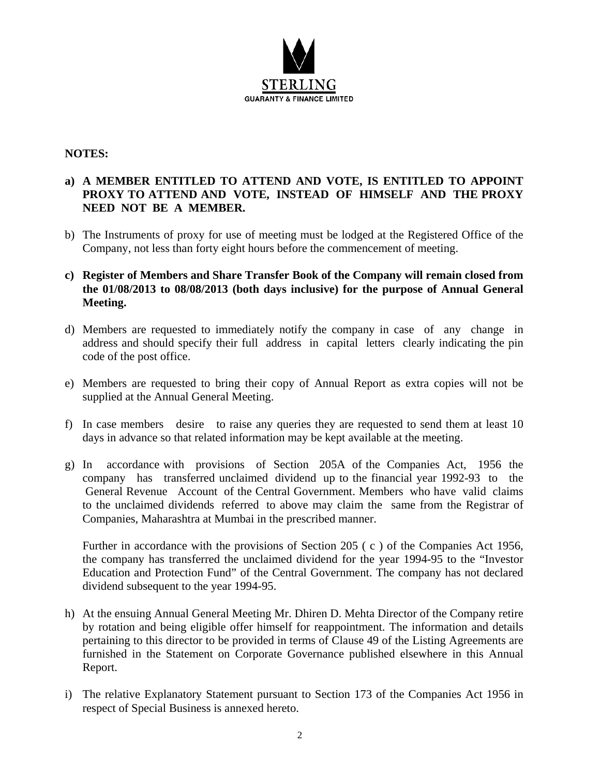

### **NOTES:**

### **a) A MEMBER ENTITLED TO ATTEND AND VOTE, IS ENTITLED TO APPOINT PROXY TO ATTEND AND VOTE, INSTEAD OF HIMSELF AND THE PROXY NEED NOT BE A MEMBER.**

- b) The Instruments of proxy for use of meeting must be lodged at the Registered Office of the Company, not less than forty eight hours before the commencement of meeting.
- **c) Register of Members and Share Transfer Book of the Company will remain closed from the 01/08/2013 to 08/08/2013 (both days inclusive) for the purpose of Annual General Meeting.**
- d) Members are requested to immediately notify the company in case of any change in address and should specify their full address in capital letters clearly indicating the pin code of the post office.
- e) Members are requested to bring their copy of Annual Report as extra copies will not be supplied at the Annual General Meeting.
- f) In case members desire to raise any queries they are requested to send them at least 10 days in advance so that related information may be kept available at the meeting.
- g) In accordance with provisions of Section 205A of the Companies Act, 1956 the company has transferred unclaimed dividend up to the financial year 1992-93 to the General Revenue Account of the Central Government. Members who have valid claims to the unclaimed dividends referred to above may claim the same from the Registrar of Companies, Maharashtra at Mumbai in the prescribed manner.

Further in accordance with the provisions of Section 205 ( c ) of the Companies Act 1956, the company has transferred the unclaimed dividend for the year 1994-95 to the "Investor Education and Protection Fund" of the Central Government. The company has not declared dividend subsequent to the year 1994-95.

- h) At the ensuing Annual General Meeting Mr. Dhiren D. Mehta Director of the Company retire by rotation and being eligible offer himself for reappointment. The information and details pertaining to this director to be provided in terms of Clause 49 of the Listing Agreements are furnished in the Statement on Corporate Governance published elsewhere in this Annual Report.
- i) The relative Explanatory Statement pursuant to Section 173 of the Companies Act 1956 in respect of Special Business is annexed hereto.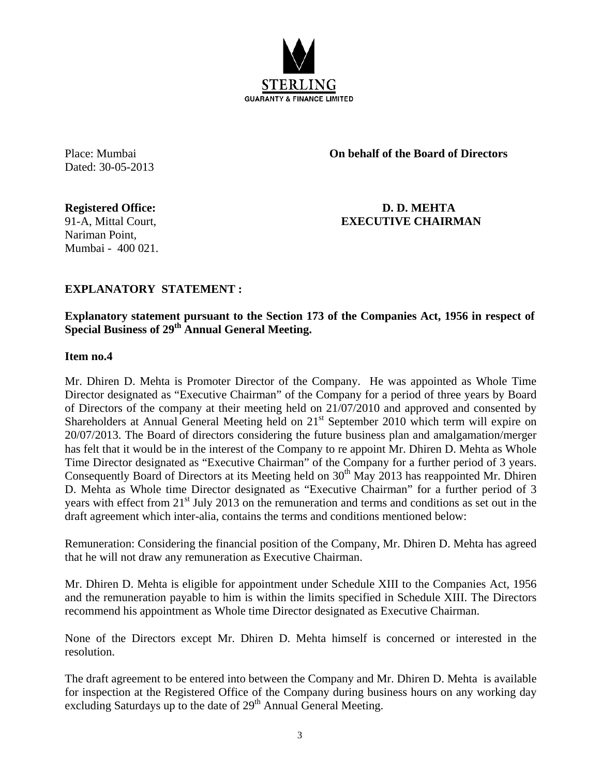

Dated: 30-05-2013

Place: Mumbai **On behalf of the Board of Directors** 

Nariman Point, Mumbai - 400 021.

**Registered Office: D. D. MEHTA**  91-A, Mittal Court, **EXECUTIVE CHAIRMAN** 

### **EXPLANATORY STATEMENT :**

### **Explanatory statement pursuant to the Section 173 of the Companies Act, 1956 in respect of Special Business of 29th Annual General Meeting.**

### **Item no.4**

Mr. Dhiren D. Mehta is Promoter Director of the Company. He was appointed as Whole Time Director designated as "Executive Chairman" of the Company for a period of three years by Board of Directors of the company at their meeting held on 21/07/2010 and approved and consented by Shareholders at Annual General Meeting held on 21<sup>st</sup> September 2010 which term will expire on 20/07/2013. The Board of directors considering the future business plan and amalgamation/merger has felt that it would be in the interest of the Company to re appoint Mr. Dhiren D. Mehta as Whole Time Director designated as "Executive Chairman" of the Company for a further period of 3 years. Consequently Board of Directors at its Meeting held on  $30<sup>th</sup>$  May 2013 has reappointed Mr. Dhiren D. Mehta as Whole time Director designated as "Executive Chairman" for a further period of 3 years with effect from 21<sup>st</sup> July 2013 on the remuneration and terms and conditions as set out in the draft agreement which inter-alia, contains the terms and conditions mentioned below:

Remuneration: Considering the financial position of the Company, Mr. Dhiren D. Mehta has agreed that he will not draw any remuneration as Executive Chairman.

Mr. Dhiren D. Mehta is eligible for appointment under Schedule XIII to the Companies Act, 1956 and the remuneration payable to him is within the limits specified in Schedule XIII. The Directors recommend his appointment as Whole time Director designated as Executive Chairman.

None of the Directors except Mr. Dhiren D. Mehta himself is concerned or interested in the resolution.

The draft agreement to be entered into between the Company and Mr. Dhiren D. Mehta is available for inspection at the Registered Office of the Company during business hours on any working day excluding Saturdays up to the date of  $29<sup>th</sup>$  Annual General Meeting.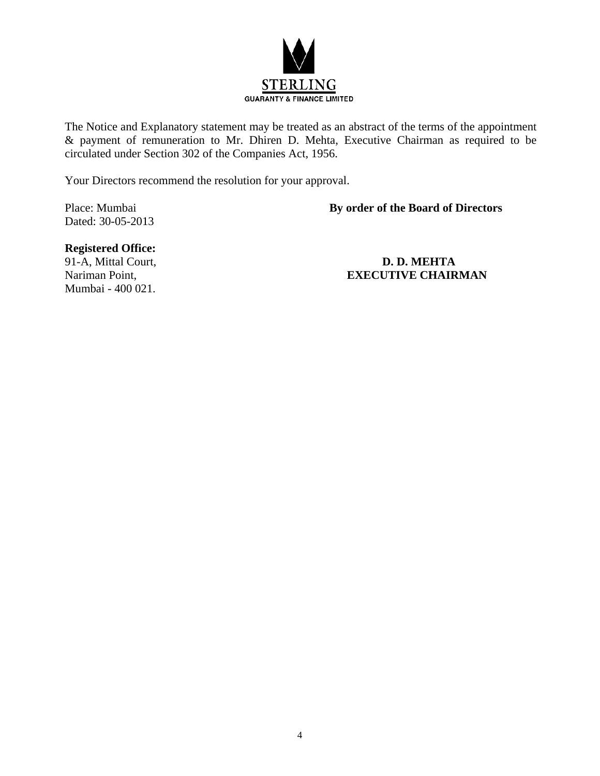

The Notice and Explanatory statement may be treated as an abstract of the terms of the appointment & payment of remuneration to Mr. Dhiren D. Mehta, Executive Chairman as required to be circulated under Section 302 of the Companies Act, 1956.

Your Directors recommend the resolution for your approval.

Dated: 30-05-2013

### Place: Mumbai **By order of the Board of Directors**

### **Registered Office:**

Mumbai - 400 021.

### 91-A, Mittal Court, **D. D. MEHTA** Nariman Point, **EXECUTIVE CHAIRMAN**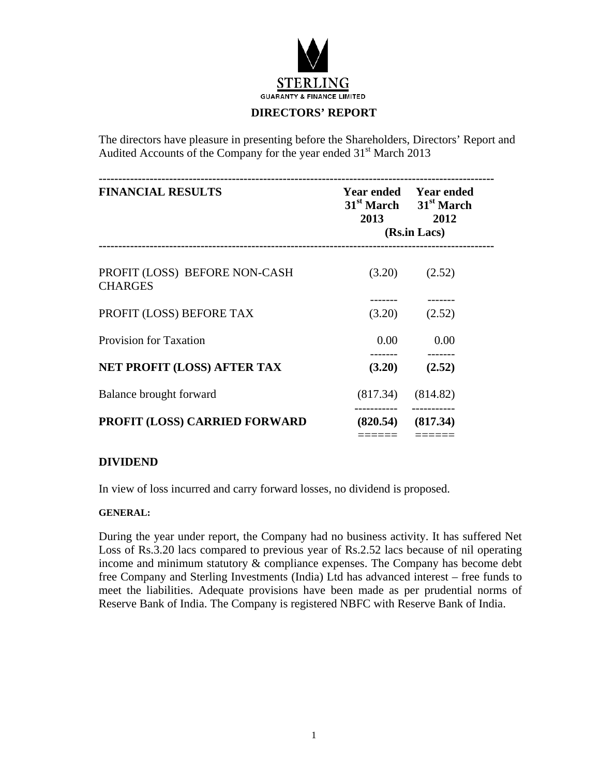

### **DIRECTORS' REPORT**

The directors have pleasure in presenting before the Shareholders, Directors' Report and Audited Accounts of the Company for the year ended 31<sup>st</sup> March 2013

| <b>FINANCIAL RESULTS</b>                        | 2013        | <b>Year ended</b> Year ended<br>$31st$ March $31st$ March<br>2012<br>(Rs.in Lacs) |
|-------------------------------------------------|-------------|-----------------------------------------------------------------------------------|
| PROFIT (LOSS) BEFORE NON-CASH<br><b>CHARGES</b> | (3.20)      | (2.52)                                                                            |
| PROFIT (LOSS) BEFORE TAX                        | (3.20)      | (2.52)                                                                            |
| <b>Provision for Taxation</b>                   | $0.00\,$    | 0.00                                                                              |
| <b>NET PROFIT (LOSS) AFTER TAX</b>              | (3.20)      | (2.52)                                                                            |
| Balance brought forward                         |             | $(817.34)$ $(814.82)$                                                             |
| PROFIT (LOSS) CARRIED FORWARD                   | ----------- | $(820.54)$ $(817.34)$                                                             |
|                                                 | ======      |                                                                                   |

### **DIVIDEND**

In view of loss incurred and carry forward losses, no dividend is proposed.

### **GENERAL:**

During the year under report, the Company had no business activity. It has suffered Net Loss of Rs.3.20 lacs compared to previous year of Rs.2.52 lacs because of nil operating income and minimum statutory & compliance expenses. The Company has become debt free Company and Sterling Investments (India) Ltd has advanced interest – free funds to meet the liabilities. Adequate provisions have been made as per prudential norms of Reserve Bank of India. The Company is registered NBFC with Reserve Bank of India.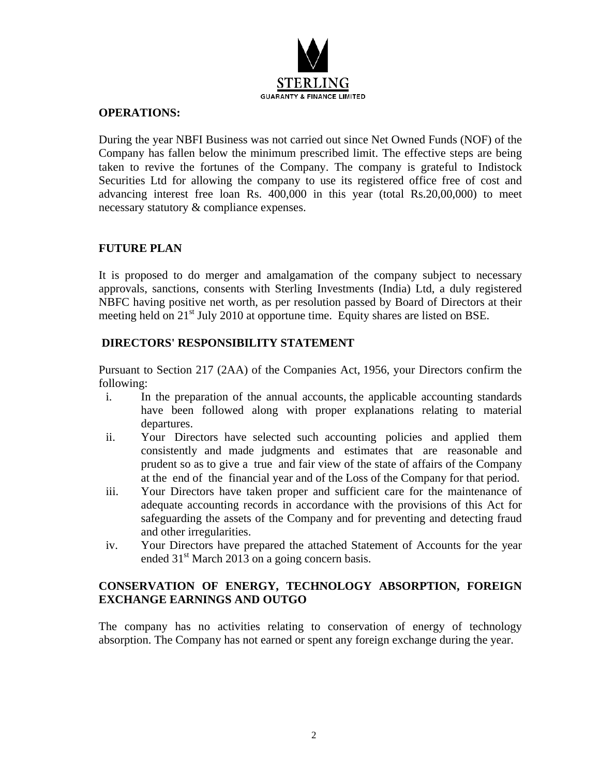

### **OPERATIONS:**

During the year NBFI Business was not carried out since Net Owned Funds (NOF) of the Company has fallen below the minimum prescribed limit. The effective steps are being taken to revive the fortunes of the Company. The company is grateful to Indistock Securities Ltd for allowing the company to use its registered office free of cost and advancing interest free loan Rs. 400,000 in this year (total Rs.20,00,000) to meet necessary statutory & compliance expenses.

### **FUTURE PLAN**

It is proposed to do merger and amalgamation of the company subject to necessary approvals, sanctions, consents with Sterling Investments (India) Ltd, a duly registered NBFC having positive net worth, as per resolution passed by Board of Directors at their meeting held on 21<sup>st</sup> July 2010 at opportune time. Equity shares are listed on BSE.

### **DIRECTORS' RESPONSIBILITY STATEMENT**

Pursuant to Section 217 (2AA) of the Companies Act, 1956, your Directors confirm the following:

- i. In the preparation of the annual accounts, the applicable accounting standards have been followed along with proper explanations relating to material departures.
- ii. Your Directors have selected such accounting policies and applied them consistently and made judgments and estimates that are reasonable and prudent so as to give a true and fair view of the state of affairs of the Company at the end of the financial year and of the Loss of the Company for that period.
- iii. Your Directors have taken proper and sufficient care for the maintenance of adequate accounting records in accordance with the provisions of this Act for safeguarding the assets of the Company and for preventing and detecting fraud and other irregularities.
- iv. Your Directors have prepared the attached Statement of Accounts for the year ended  $31<sup>st</sup>$  March 2013 on a going concern basis.

### **CONSERVATION OF ENERGY, TECHNOLOGY ABSORPTION, FOREIGN EXCHANGE EARNINGS AND OUTGO**

The company has no activities relating to conservation of energy of technology absorption. The Company has not earned or spent any foreign exchange during the year.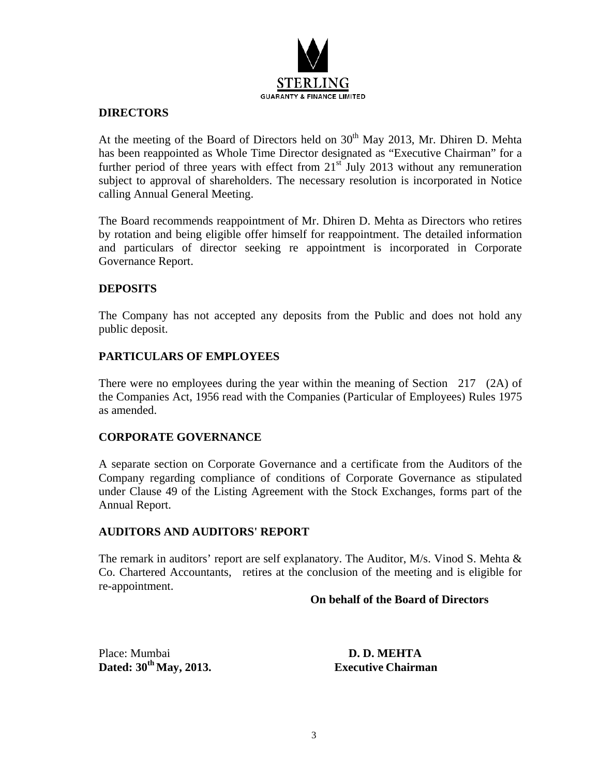

### **DIRECTORS**

At the meeting of the Board of Directors held on  $30<sup>th</sup>$  May 2013, Mr. Dhiren D. Mehta has been reappointed as Whole Time Director designated as "Executive Chairman" for a further period of three years with effect from  $21<sup>st</sup>$  July 2013 without any remuneration subject to approval of shareholders. The necessary resolution is incorporated in Notice calling Annual General Meeting.

The Board recommends reappointment of Mr. Dhiren D. Mehta as Directors who retires by rotation and being eligible offer himself for reappointment. The detailed information and particulars of director seeking re appointment is incorporated in Corporate Governance Report.

### **DEPOSITS**

The Company has not accepted any deposits from the Public and does not hold any public deposit.

### **PARTICULARS OF EMPLOYEES**

There were no employees during the year within the meaning of Section 217 (2A) of the Companies Act, 1956 read with the Companies (Particular of Employees) Rules 1975 as amended.

### **CORPORATE GOVERNANCE**

A separate section on Corporate Governance and a certificate from the Auditors of the Company regarding compliance of conditions of Corporate Governance as stipulated under Clause 49 of the Listing Agreement with the Stock Exchanges, forms part of the Annual Report.

### **AUDITORS AND AUDITORS' REPORT**

The remark in auditors' report are self explanatory. The Auditor, M/s. Vinod S. Mehta & Co. Chartered Accountants, retires at the conclusion of the meeting and is eligible for re-appointment.

### **On behalf of the Board of Directors**

Place: Mumbai **D. D. MEHTA Dated: 30th May, 2013. Executive Chairman**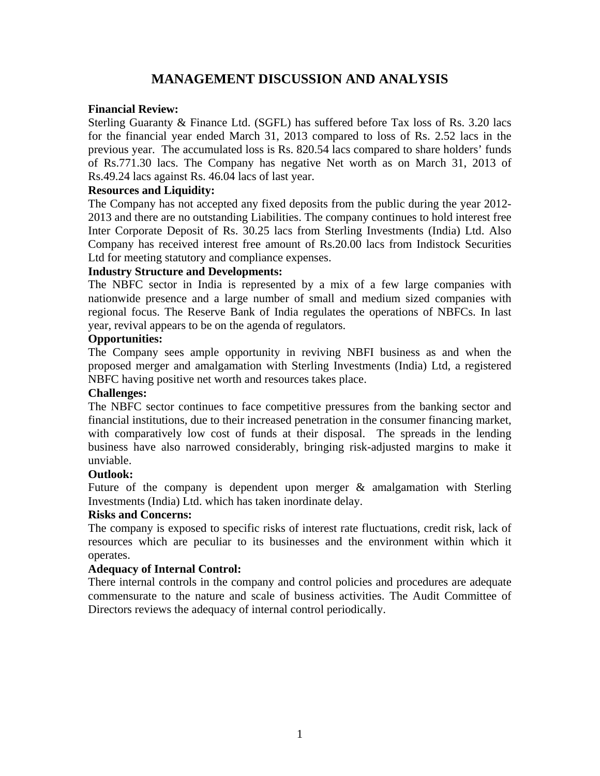### **MANAGEMENT DISCUSSION AND ANALYSIS**

### **Financial Review:**

Sterling Guaranty & Finance Ltd. (SGFL) has suffered before Tax loss of Rs. 3.20 lacs for the financial year ended March 31, 2013 compared to loss of Rs. 2.52 lacs in the previous year. The accumulated loss is Rs. 820.54 lacs compared to share holders' funds of Rs.771.30 lacs. The Company has negative Net worth as on March 31, 2013 of Rs.49.24 lacs against Rs. 46.04 lacs of last year.

### **Resources and Liquidity:**

The Company has not accepted any fixed deposits from the public during the year 2012- 2013 and there are no outstanding Liabilities. The company continues to hold interest free Inter Corporate Deposit of Rs. 30.25 lacs from Sterling Investments (India) Ltd. Also Company has received interest free amount of Rs.20.00 lacs from Indistock Securities Ltd for meeting statutory and compliance expenses.

### **Industry Structure and Developments:**

The NBFC sector in India is represented by a mix of a few large companies with nationwide presence and a large number of small and medium sized companies with regional focus. The Reserve Bank of India regulates the operations of NBFCs. In last year, revival appears to be on the agenda of regulators.

### **Opportunities:**

The Company sees ample opportunity in reviving NBFI business as and when the proposed merger and amalgamation with Sterling Investments (India) Ltd, a registered NBFC having positive net worth and resources takes place.

### **Challenges:**

The NBFC sector continues to face competitive pressures from the banking sector and financial institutions, due to their increased penetration in the consumer financing market, with comparatively low cost of funds at their disposal. The spreads in the lending business have also narrowed considerably, bringing risk-adjusted margins to make it unviable.

### **Outlook:**

Future of the company is dependent upon merger & amalgamation with Sterling Investments (India) Ltd. which has taken inordinate delay.

### **Risks and Concerns:**

The company is exposed to specific risks of interest rate fluctuations, credit risk, lack of resources which are peculiar to its businesses and the environment within which it operates.

### **Adequacy of Internal Control:**

There internal controls in the company and control policies and procedures are adequate commensurate to the nature and scale of business activities. The Audit Committee of Directors reviews the adequacy of internal control periodically.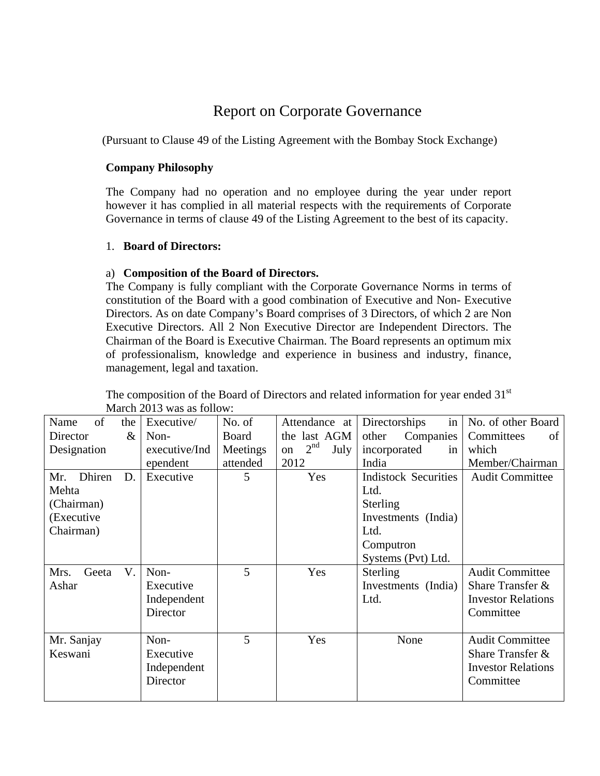### Report on Corporate Governance

(Pursuant to Clause 49 of the Listing Agreement with the Bombay Stock Exchange)

### **Company Philosophy**

The Company had no operation and no employee during the year under report however it has complied in all material respects with the requirements of Corporate Governance in terms of clause 49 of the Listing Agreement to the best of its capacity.

### 1. **Board of Directors:**

### a) **Composition of the Board of Directors.**

The Company is fully compliant with the Corporate Governance Norms in terms of constitution of the Board with a good combination of Executive and Non- Executive Directors. As on date Company's Board comprises of 3 Directors, of which 2 are Non Executive Directors. All 2 Non Executive Director are Independent Directors. The Chairman of the Board is Executive Chairman. The Board represents an optimum mix of professionalism, knowledge and experience in business and industry, finance, management, legal and taxation.

| of<br>Name<br>the<br>$\&$<br>Director<br>Designation                   | Executive/<br>Non-<br>executive/Ind<br>ependent | No. of<br>Board<br>Meetings<br>attended | Attendance at<br>the last AGM<br>2 <sup>nd</sup><br>July<br>on<br>2012 | in<br>Directorships<br>Companies<br>other<br>incorporated<br>in<br>India                                          | No. of other Board<br>Committees<br>οf<br>which<br>Member/Chairman                   |
|------------------------------------------------------------------------|-------------------------------------------------|-----------------------------------------|------------------------------------------------------------------------|-------------------------------------------------------------------------------------------------------------------|--------------------------------------------------------------------------------------|
| Dhiren<br>D.<br>Mr.<br>Mehta<br>(Chairman)<br>(Executive)<br>Chairman) | Executive                                       | 5                                       | Yes                                                                    | <b>Indistock Securities</b><br>Ltd.<br>Sterling<br>Investments (India)<br>Ltd.<br>Computron<br>Systems (Pvt) Ltd. | <b>Audit Committee</b>                                                               |
| V.<br>Mrs.<br>Geeta<br>Ashar                                           | Non-<br>Executive<br>Independent<br>Director    | 5                                       | Yes                                                                    | Sterling<br>Investments (India)<br>Ltd.                                                                           | <b>Audit Committee</b><br>Share Transfer &<br><b>Investor Relations</b><br>Committee |
| Mr. Sanjay<br>Keswani                                                  | Non-<br>Executive<br>Independent<br>Director    | 5                                       | Yes                                                                    | None                                                                                                              | <b>Audit Committee</b><br>Share Transfer &<br><b>Investor Relations</b><br>Committee |

The composition of the Board of Directors and related information for year ended 31<sup>st</sup> March 2013 was as follow: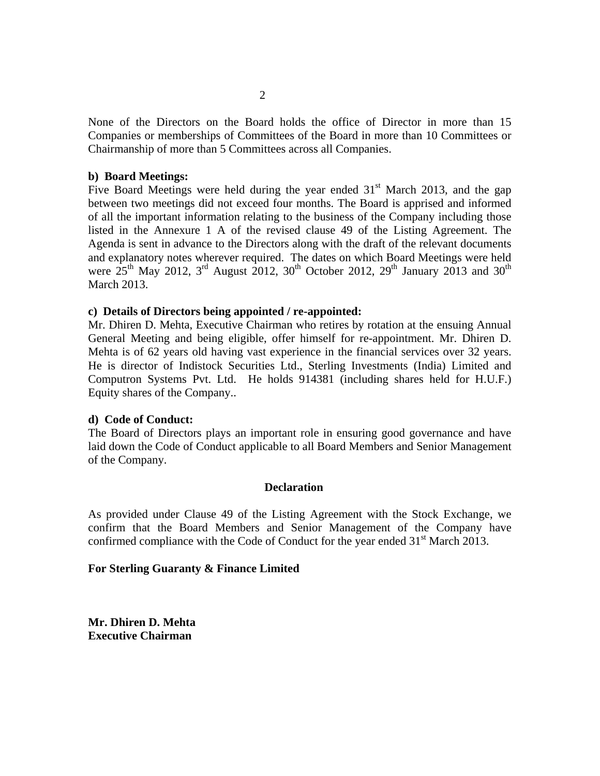None of the Directors on the Board holds the office of Director in more than 15 Companies or memberships of Committees of the Board in more than 10 Committees or Chairmanship of more than 5 Committees across all Companies.

### **b) Board Meetings:**

Five Board Meetings were held during the year ended  $31<sup>st</sup>$  March 2013, and the gap between two meetings did not exceed four months. The Board is apprised and informed of all the important information relating to the business of the Company including those listed in the Annexure 1 A of the revised clause 49 of the Listing Agreement. The Agenda is sent in advance to the Directors along with the draft of the relevant documents and explanatory notes wherever required. The dates on which Board Meetings were held were  $25<sup>th</sup>$  May 2012,  $3<sup>rd</sup>$  August 2012,  $30<sup>th</sup>$  October 2012,  $29<sup>th</sup>$  January 2013 and 30<sup>th</sup> March 2013.

### **c) Details of Directors being appointed / re-appointed:**

Mr. Dhiren D. Mehta, Executive Chairman who retires by rotation at the ensuing Annual General Meeting and being eligible, offer himself for re-appointment. Mr. Dhiren D. Mehta is of 62 years old having vast experience in the financial services over 32 years. He is director of Indistock Securities Ltd., Sterling Investments (India) Limited and Computron Systems Pvt. Ltd. He holds 914381 (including shares held for H.U.F.) Equity shares of the Company..

### **d) Code of Conduct:**

The Board of Directors plays an important role in ensuring good governance and have laid down the Code of Conduct applicable to all Board Members and Senior Management of the Company.

### **Declaration**

As provided under Clause 49 of the Listing Agreement with the Stock Exchange, we confirm that the Board Members and Senior Management of the Company have confirmed compliance with the Code of Conduct for the year ended  $31<sup>st</sup>$  March 2013.

### **For Sterling Guaranty & Finance Limited**

**Mr. Dhiren D. Mehta Executive Chairman**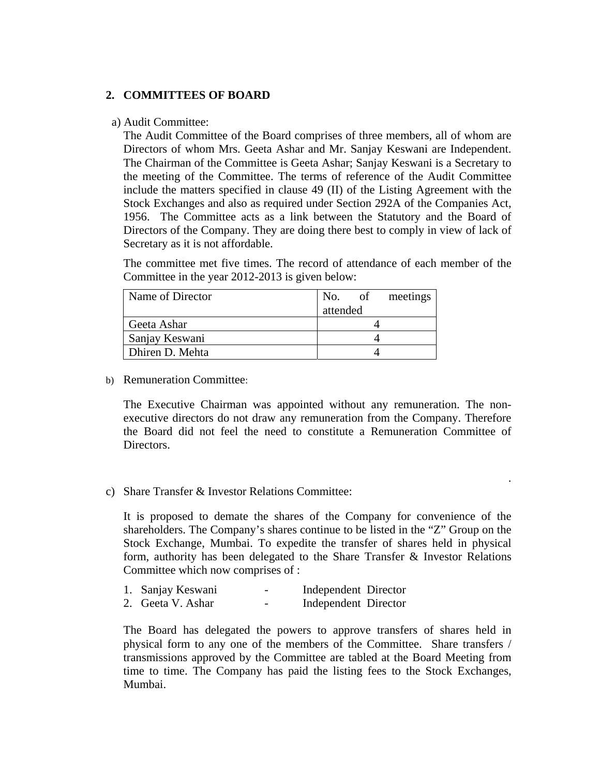### **2. COMMITTEES OF BOARD**

### a) Audit Committee:

The Audit Committee of the Board comprises of three members, all of whom are Directors of whom Mrs. Geeta Ashar and Mr. Sanjay Keswani are Independent. The Chairman of the Committee is Geeta Ashar; Sanjay Keswani is a Secretary to the meeting of the Committee. The terms of reference of the Audit Committee include the matters specified in clause 49 (II) of the Listing Agreement with the Stock Exchanges and also as required under Section 292A of the Companies Act, 1956. The Committee acts as a link between the Statutory and the Board of Directors of the Company. They are doing there best to comply in view of lack of Secretary as it is not affordable.

The committee met five times. The record of attendance of each member of the Committee in the year 2012-2013 is given below:

| Name of Director | No. of   | meetings |
|------------------|----------|----------|
|                  | attended |          |
| Geeta Ashar      |          |          |
| Sanjay Keswani   |          |          |
| Dhiren D. Mehta  |          |          |

b) Remuneration Committee:

The Executive Chairman was appointed without any remuneration. The nonexecutive directors do not draw any remuneration from the Company. Therefore the Board did not feel the need to constitute a Remuneration Committee of Directors.

.

c) Share Transfer & Investor Relations Committee:

It is proposed to demate the shares of the Company for convenience of the shareholders. The Company's shares continue to be listed in the "Z" Group on the Stock Exchange, Mumbai. To expedite the transfer of shares held in physical form, authority has been delegated to the Share Transfer  $\&$  Investor Relations Committee which now comprises of :

- 1. Sanjay Keswani Independent Director
- 2. Geeta V. Ashar Independent Director

The Board has delegated the powers to approve transfers of shares held in physical form to any one of the members of the Committee. Share transfers / transmissions approved by the Committee are tabled at the Board Meeting from time to time. The Company has paid the listing fees to the Stock Exchanges, Mumbai.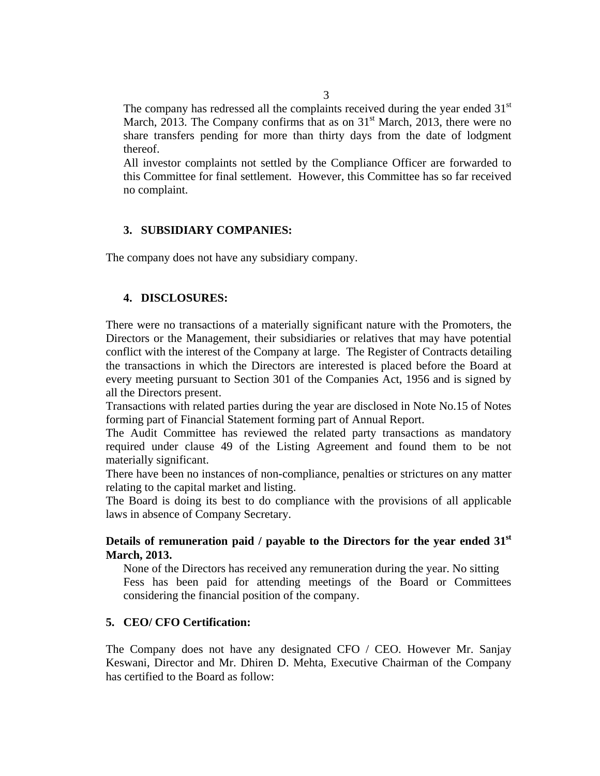The company has redressed all the complaints received during the year ended  $31<sup>st</sup>$ March, 2013. The Company confirms that as on  $31<sup>st</sup>$  March, 2013, there were no share transfers pending for more than thirty days from the date of lodgment thereof.

All investor complaints not settled by the Compliance Officer are forwarded to this Committee for final settlement. However, this Committee has so far received no complaint.

### **3. SUBSIDIARY COMPANIES:**

The company does not have any subsidiary company.

### **4. DISCLOSURES:**

There were no transactions of a materially significant nature with the Promoters, the Directors or the Management, their subsidiaries or relatives that may have potential conflict with the interest of the Company at large. The Register of Contracts detailing the transactions in which the Directors are interested is placed before the Board at every meeting pursuant to Section 301 of the Companies Act, 1956 and is signed by all the Directors present.

Transactions with related parties during the year are disclosed in Note No.15 of Notes forming part of Financial Statement forming part of Annual Report.

The Audit Committee has reviewed the related party transactions as mandatory required under clause 49 of the Listing Agreement and found them to be not materially significant.

There have been no instances of non-compliance, penalties or strictures on any matter relating to the capital market and listing.

The Board is doing its best to do compliance with the provisions of all applicable laws in absence of Company Secretary.

### **Details of remuneration paid / payable to the Directors for the year ended 31st March, 2013.**

None of the Directors has received any remuneration during the year. No sitting Fess has been paid for attending meetings of the Board or Committees considering the financial position of the company.

### **5. CEO/ CFO Certification:**

The Company does not have any designated CFO / CEO. However Mr. Sanjay Keswani, Director and Mr. Dhiren D. Mehta, Executive Chairman of the Company has certified to the Board as follow: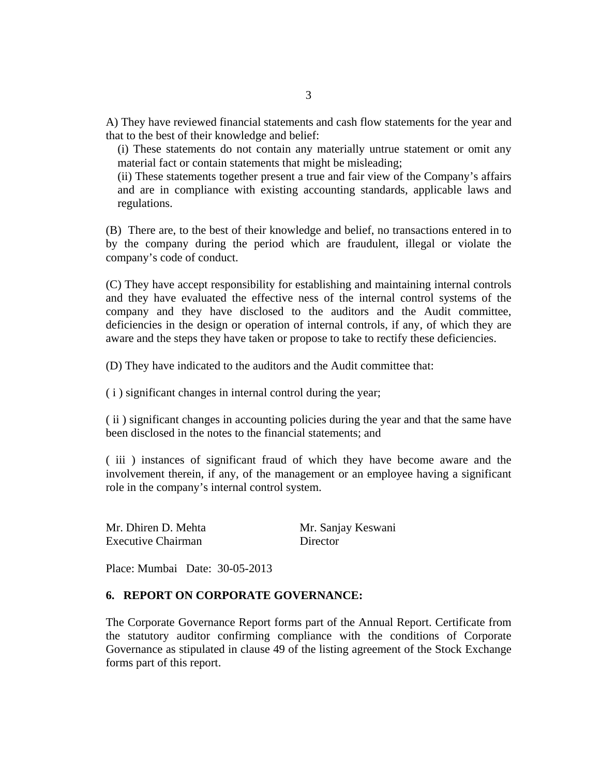A) They have reviewed financial statements and cash flow statements for the year and that to the best of their knowledge and belief:

(i) These statements do not contain any materially untrue statement or omit any material fact or contain statements that might be misleading;

(ii) These statements together present a true and fair view of the Company's affairs and are in compliance with existing accounting standards, applicable laws and regulations.

(B) There are, to the best of their knowledge and belief, no transactions entered in to by the company during the period which are fraudulent, illegal or violate the company's code of conduct.

(C) They have accept responsibility for establishing and maintaining internal controls and they have evaluated the effective ness of the internal control systems of the company and they have disclosed to the auditors and the Audit committee, deficiencies in the design or operation of internal controls, if any, of which they are aware and the steps they have taken or propose to take to rectify these deficiencies.

(D) They have indicated to the auditors and the Audit committee that:

( i ) significant changes in internal control during the year;

( ii ) significant changes in accounting policies during the year and that the same have been disclosed in the notes to the financial statements; and

( iii ) instances of significant fraud of which they have become aware and the involvement therein, if any, of the management or an employee having a significant role in the company's internal control system.

| Mr. Dhiren D. Mehta       | Mr. Sanjay Keswani |
|---------------------------|--------------------|
| <b>Executive Chairman</b> | Director           |

Place: Mumbai Date: 30-05-2013

### **6. REPORT ON CORPORATE GOVERNANCE:**

The Corporate Governance Report forms part of the Annual Report. Certificate from the statutory auditor confirming compliance with the conditions of Corporate Governance as stipulated in clause 49 of the listing agreement of the Stock Exchange forms part of this report.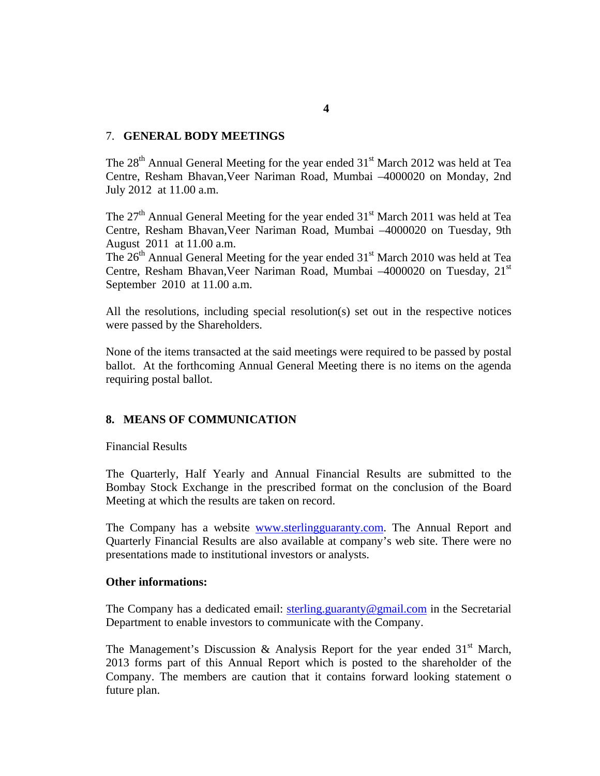### 7. **GENERAL BODY MEETINGS**

The  $28<sup>th</sup>$  Annual General Meeting for the year ended  $31<sup>st</sup>$  March 2012 was held at Tea Centre, Resham Bhavan,Veer Nariman Road, Mumbai –4000020 on Monday, 2nd July 2012 at 11.00 a.m.

The  $27<sup>th</sup>$  Annual General Meeting for the year ended  $31<sup>st</sup>$  March 2011 was held at Tea Centre, Resham Bhavan,Veer Nariman Road, Mumbai –4000020 on Tuesday, 9th August 2011 at 11.00 a.m.

The  $26<sup>th</sup>$  Annual General Meeting for the year ended  $31<sup>st</sup>$  March 2010 was held at Tea Centre, Resham Bhavan, Veer Nariman Road, Mumbai -4000020 on Tuesday, 21<sup>st</sup> September 2010 at 11.00 a.m.

All the resolutions, including special resolution(s) set out in the respective notices were passed by the Shareholders.

None of the items transacted at the said meetings were required to be passed by postal ballot. At the forthcoming Annual General Meeting there is no items on the agenda requiring postal ballot.

### **8. MEANS OF COMMUNICATION**

Financial Results

The Quarterly, Half Yearly and Annual Financial Results are submitted to the Bombay Stock Exchange in the prescribed format on the conclusion of the Board Meeting at which the results are taken on record.

The Company has a website www.sterlingguaranty.com. The Annual Report and Quarterly Financial Results are also available at company's web site. There were no presentations made to institutional investors or analysts.

### **Other informations:**

The Company has a dedicated email:  $\frac{\text{sterling.} \text{guaranty@gmail.com}}{\text{genail.com}}$  in the Secretarial Department to enable investors to communicate with the Company.

The Management's Discussion & Analysis Report for the year ended  $31<sup>st</sup>$  March, 2013 forms part of this Annual Report which is posted to the shareholder of the Company. The members are caution that it contains forward looking statement o future plan.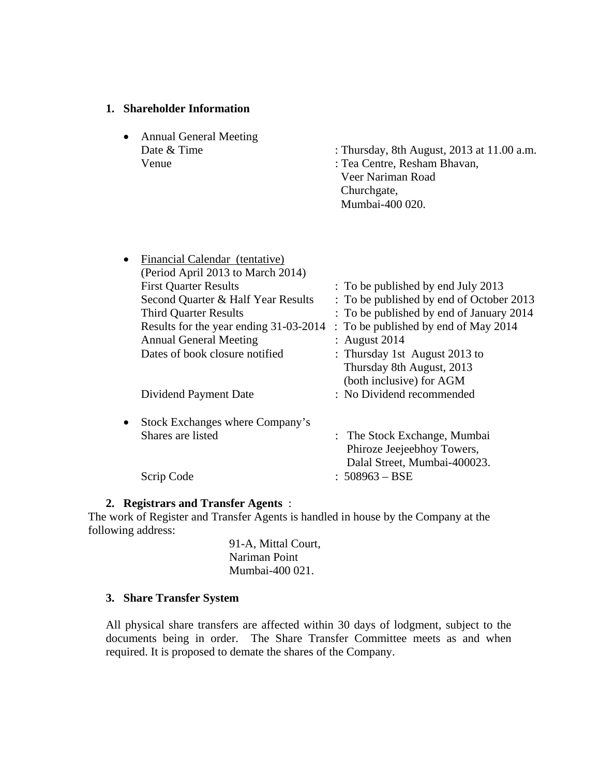### **1. Shareholder Information**

• Annual General Meeting Venue : Tea Centre, Resham Bhavan,

Date & Time : Thursday, 8th August, 2013 at 11.00 a.m.

 Veer Nariman Road Churchgate, Mumbai-400 020.

| $\bullet$ | Financial Calendar (tentative)         |                                          |
|-----------|----------------------------------------|------------------------------------------|
|           | (Period April 2013 to March 2014)      |                                          |
|           | <b>First Quarter Results</b>           | : To be published by end July 2013       |
|           | Second Quarter & Half Year Results     | : To be published by end of October 2013 |
|           | <b>Third Quarter Results</b>           | : To be published by end of January 2014 |
|           | Results for the year ending 31-03-2014 | : To be published by end of May 2014     |
|           | <b>Annual General Meeting</b>          | : August $2014$                          |
|           | Dates of book closure notified         | : Thursday 1st August 2013 to            |
|           |                                        | Thursday 8th August, 2013                |
|           |                                        | (both inclusive) for AGM                 |
|           | Dividend Payment Date                  | : No Dividend recommended                |
| $\bullet$ | Stock Exchanges where Company's        |                                          |
|           | Shares are listed                      | : The Stock Exchange, Mumbai             |
|           |                                        | Phiroze Jeejeebhoy Towers,               |
|           |                                        | Dalal Street, Mumbai-400023.             |
|           | Scrip Code                             | $: 508963 - BSE$                         |
|           |                                        |                                          |

### **2. Registrars and Transfer Agents** :

The work of Register and Transfer Agents is handled in house by the Company at the following address:

> 91-A, Mittal Court, Nariman Point Mumbai-400 021.

### **3. Share Transfer System**

All physical share transfers are affected within 30 days of lodgment, subject to the documents being in order. The Share Transfer Committee meets as and when required. It is proposed to demate the shares of the Company.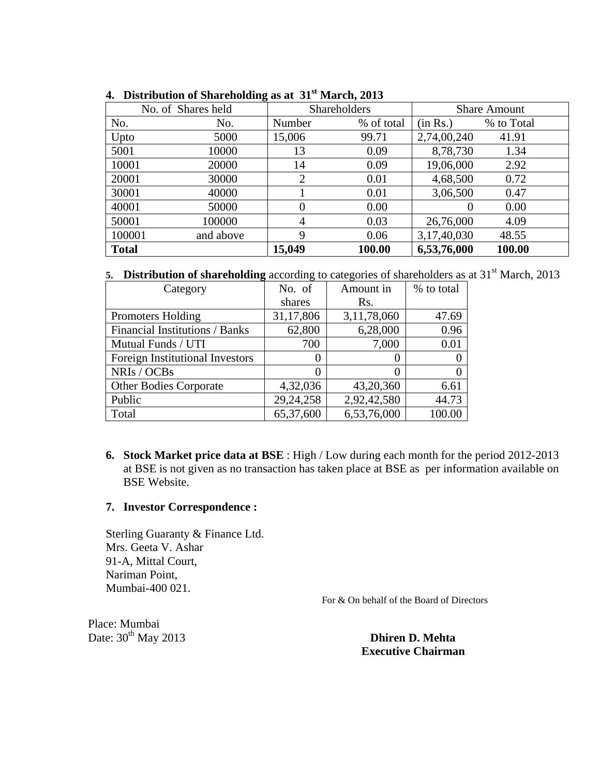|              | No. of Shares held |                | Shareholders |             | <b>Share Amount</b> |
|--------------|--------------------|----------------|--------------|-------------|---------------------|
| No.          | No.                | Number         | % of total   | (in Rs.)    | % to Total          |
| Upto         | 5000               | 15,006         | 99.71        | 2,74,00,240 | 41.91               |
| 5001         | 10000              | 13             | 0.09         | 8,78,730    | 1.34                |
| 10001        | 20000              | 14             | 0.09         | 19,06,000   | 2.92                |
| 20001        | 30000              | 2              | 0.01         | 4,68,500    | 0.72                |
| 30001        | 40000              |                | 0.01         | 3,06,500    | 0.47                |
| 40001        | 50000              | $\Omega$       | 0.00         |             | 0.00                |
| 50001        | 100000             | $\overline{4}$ | 0.03         | 26,76,000   | 4.09                |
| 100001       | and above          | 9              | 0.06         | 3,17,40,030 | 48.55               |
| <b>Total</b> |                    | 15,049         | 100.00       | 6,53,76,000 | 100.00              |

**4. Distribution of Shareholding as at 31st March, 2013**

5. **Distribution of shareholding** according to categories of shareholders as at 31<sup>st</sup> March, 2013

| Category                        | No. of      | Amount in         | % to total |
|---------------------------------|-------------|-------------------|------------|
|                                 | shares      | Rs.               |            |
| <b>Promoters Holding</b>        | 31,17,806   | 3,11,78,060       | 47.69      |
| Financial Institutions / Banks  | 62,800      | 6,28,000          | 0.96       |
| Mutual Funds / UTI              | 700         | 7,000             | 0.01       |
| Foreign Institutional Investors |             | $\mathbf{\Omega}$ |            |
| NRIs / OCBs                     |             | 0                 |            |
| <b>Other Bodies Corporate</b>   | 4,32,036    | 43,20,360         | 6.61       |
| Public                          | 29, 24, 258 | 2,92,42,580       | 44.73      |
| Total                           | 65,37,600   | 6,53,76,000       | 100.00     |

**6. Stock Market price data at BSE** : High / Low during each month for the period 2012-2013 at BSE is not given as no transaction has taken place at BSE as per information available on BSE Website.

### **7. Investor Correspondence :**

Sterling Guaranty & Finance Ltd. Mrs. Geeta V. Ashar 91-A, Mittal Court, Nariman Point, Mumbai-400 021.

For & On behalf of the Board of Directors

Place: Mumbai Date: 30<sup>th</sup> May 2013 **Dhiren D. Mehta** 

 **Executive Chairman**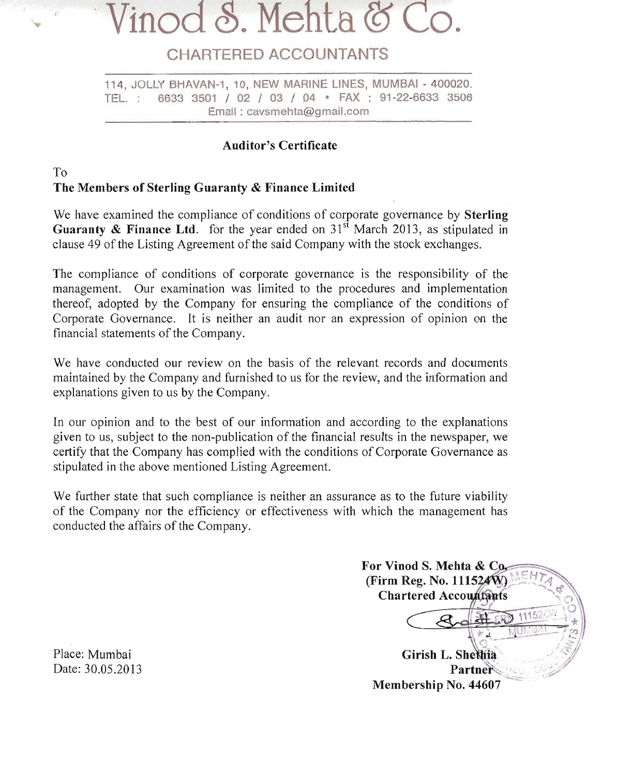### 8. Mehta

### **CHARTERED ACCOUNTANTS**

114, JOLLY BHAVAN-1, 10, NEW MARINE LINES, MUMBAI - 400020. 6633 3501 / 02 / 03 / 04 · FAX : 91-22-6633 3506 TEL. : Email: cavsmehta@gmail.com

### **Auditor's Certificate**

### $To$ The Members of Sterling Guaranty & Finance Limited

We have examined the compliance of conditions of corporate governance by **Sterling** Guaranty & Finance Ltd. for the year ended on  $31<sup>st</sup>$  March 2013, as stipulated in clause 49 of the Listing Agreement of the said Company with the stock exchanges.

The compliance of conditions of corporate governance is the responsibility of the management. Our examination was limited to the procedures and implementation thereof, adopted by the Company for ensuring the compliance of the conditions of Corporate Governance. It is neither an audit nor an expression of opinion on the financial statements of the Company.

We have conducted our review on the basis of the relevant records and documents maintained by the Company and furnished to us for the review, and the information and explanations given to us by the Company.

In our opinion and to the best of our information and according to the explanations given to us, subject to the non-publication of the financial results in the newspaper, we certify that the Company has complied with the conditions of Corporate Governance as stipulated in the above mentioned Listing Agreement.

We further state that such compliance is neither an assurance as to the future viability of the Company nor the efficiency or effectiveness with which the management has conducted the affairs of the Company.

For Vinod S. Mehta & Co. (Firm Reg. No. 111524W) **Chartered Accountants** 1115 Girish L. Shethia Partner Membership No. 44607

Place: Mumbai Date: 30.05.2013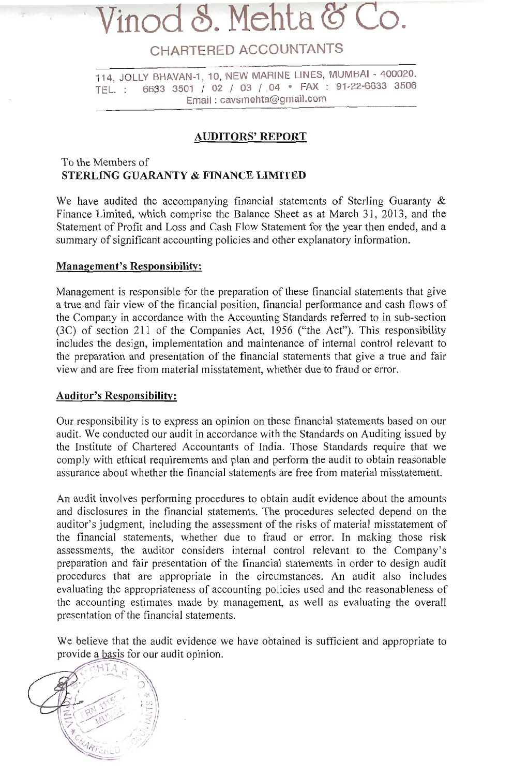### inod S. Mehta

### CHARTERED ACCOUNTANTS

114, JOLLY BHAVAN-1, 10, NEW MARINE LINES, MUMBAI - 400020. 6633 3501 / 02 / 03 / 04 · FAX : 91-22-6633 3506 TEL.: Email: cavsmehta@gmail.com

### **AUDITORS' REPORT**

### To the Members of **STERLING GUARANTY & FINANCE LIMITED**

We have audited the accompanying financial statements of Sterling Guaranty  $\&$ Finance Limited, which comprise the Balance Sheet as at March 31, 2013, and the Statement of Profit and Loss and Cash Flow Statement for the year then ended, and a summary of significant accounting policies and other explanatory information.

### **Management's Responsibility:**

Management is responsible for the preparation of these financial statements that give a true and fair view of the financial position, financial performance and cash flows of the Company in accordance with the Accounting Standards referred to in sub-section (3C) of section 211 of the Companies Act, 1956 ("the Act"). This responsibility includes the design, implementation and maintenance of internal control relevant to the preparation and presentation of the financial statements that give a true and fair view and are free from material misstatement, whether due to fraud or error.

### **Auditor's Responsibility:**

Our responsibility is to express an opinion on these financial statements based on our audit. We conducted our audit in accordance with the Standards on Auditing issued by the Institute of Chartered Accountants of India. Those Standards require that we comply with ethical requirements and plan and perform the audit to obtain reasonable assurance about whether the financial statements are free from material misstatement.

An audit involves performing procedures to obtain audit evidence about the amounts and disclosures in the financial statements. The procedures selected depend on the auditor's judgment, including the assessment of the risks of material misstatement of the financial statements, whether due to fraud or error. In making those risk assessments, the auditor considers internal control relevant to the Company's preparation and fair presentation of the financial statements in order to design audit procedures that are appropriate in the circumstances. An audit also includes evaluating the appropriateness of accounting policies used and the reasonableness of the accounting estimates made by management, as well as evaluating the overall presentation of the financial statements.

We believe that the audit evidence we have obtained is sufficient and appropriate to provide a basis for our audit opinion.

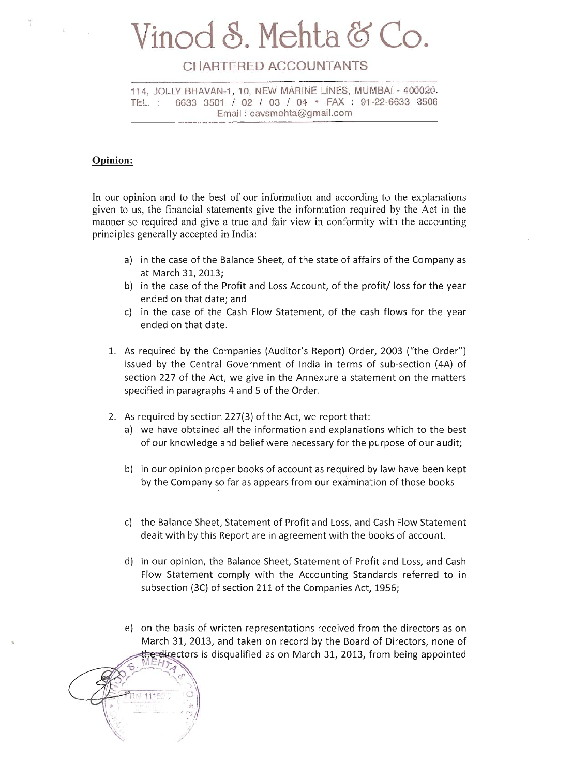## Vinod S. Mehta & Co.

### CHARTERED ACCOUNTANTS

114, JOLLY BHAVAN-1, 10, NEW MARINE LINES, MUMBAI - 400020. 6633 3501 / 02 / 03 / 04 · FAX : 91-22-6633 3506 TEL. : Email: cavsmehta@gmail.com

### Opinion:

In our opinion and to the best of our information and according to the explanations given to us, the financial statements give the information required by the Act in the manner so required and give a true and fair view in conformity with the accounting principles generally accepted in India:

- a) in the case of the Balance Sheet, of the state of affairs of the Company as at March 31, 2013;
- b) in the case of the Profit and Loss Account, of the profit/ loss for the year ended on that date; and
- c) in the case of the Cash Flow Statement, of the cash flows for the year ended on that date.
- 1. As required by the Companies (Auditor's Report) Order, 2003 ("the Order") issued by the Central Government of India in terms of sub-section (4A) of section 227 of the Act, we give in the Annexure a statement on the matters specified in paragraphs 4 and 5 of the Order.
- 2. As required by section 227(3) of the Act, we report that:
	- a) we have obtained all the information and explanations which to the best of our knowledge and belief were necessary for the purpose of our audit;
	- b) in our opinion proper books of account as required by law have been kept by the Company so far as appears from our examination of those books
	- c) the Balance Sheet, Statement of Profit and Loss, and Cash Flow Statement dealt with by this Report are in agreement with the books of account.
	- d) in our opinion, the Balance Sheet, Statement of Profit and Loss, and Cash Flow Statement comply with the Accounting Standards referred to in subsection (3C) of section 211 of the Companies Act, 1956;
	- e) on the basis of written representations received from the directors as on March 31, 2013, and taken on record by the Board of Directors, none of e-directors is disqualified as on March 31, 2013, from being appointed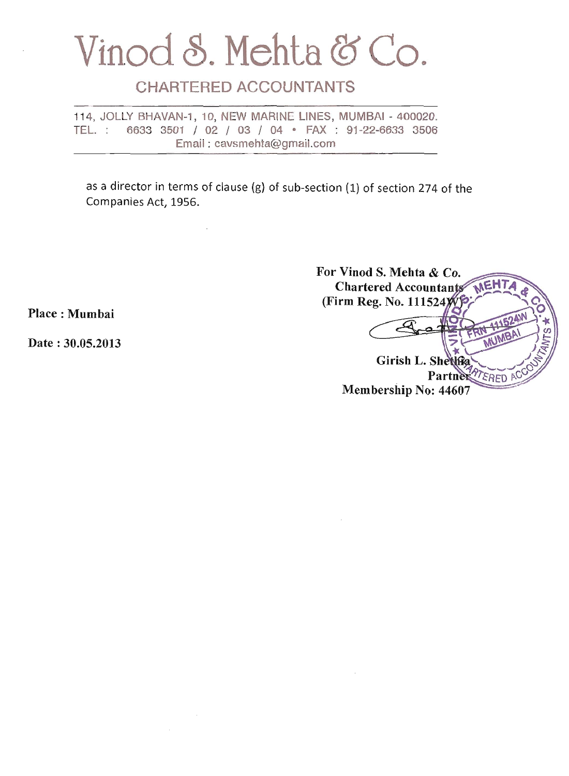### Vinod S. Mehta & Co.

### **CHARTERED ACCOUNTANTS**

 $\overline{\phantom{a}}$ 

114, JOLLY BHAVAN-1, 10, NEW MARINE LINES, MUMBAI - 400020. TEL.: 6633 3501 / 02 / 03 / 04 · FAX : 91-22-6633 3506 Email: cavsmehta@gmail.com

as a director in terms of clause (g) of sub-section (1) of section 274 of the Companies Act, 1956.

| For Vinod S. Mehta & Co.              |
|---------------------------------------|
| MEHTA<br><b>Chartered Accountants</b> |
| (Firm Reg. No. 111524)                |
|                                       |
| <b>IABA</b>                           |
|                                       |
| Girish L. Shetthe                     |
| Partne                                |
| Membership No: 44607                  |

Place: Mumhai

Date: 30.05.2013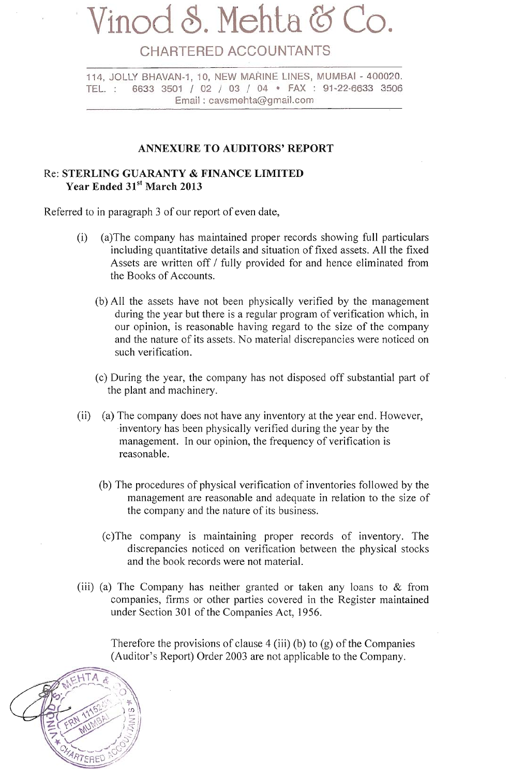## Vinod S. Mehta &

### CHARTERED ACCOUNTANTS

114. JOLLY BHAVAN-1, 10. NEW MARINE LINES, MUMBAI - 400020. 6633 3501 / 02 / 03 / 04 · FAX : 91-22-6633 3506 TEL. Email: cavsmehta@gmail.com

### **ANNEXURE TO AUDITORS' REPORT**

### Re: STERLING GUARANTY & FINANCE LIMITED Year Ended 31st March 2013

Referred to in paragraph 3 of our report of even date,

- (a) The company has maintained proper records showing full particulars  $(i)$ including quantitative details and situation of fixed assets. All the fixed Assets are written off / fully provided for and hence eliminated from the Books of Accounts.
	- (b) All the assets have not been physically verified by the management during the year but there is a regular program of verification which, in our opinion, is reasonable having regard to the size of the company and the nature of its assets. No material discrepancies were noticed on such verification.
	- (c) During the year, the company has not disposed off substantial part of the plant and machinery.
- (a) The company does not have any inventory at the year end. However,  $(ii)$ inventory has been physically verified during the year by the management. In our opinion, the frequency of verification is reasonable.
	- (b) The procedures of physical verification of inventories followed by the management are reasonable and adequate in relation to the size of the company and the nature of its business.
	- (c) The company is maintaining proper records of inventory. The discrepancies noticed on verification between the physical stocks and the book records were not material.
- (iii) (a) The Company has neither granted or taken any loans to  $&$  from companies, firms or other parties covered in the Register maintained under Section 301 of the Companies Act, 1956.

Therefore the provisions of clause 4 (iii) (b) to (g) of the Companies (Auditor's Report) Order 2003 are not applicable to the Company.

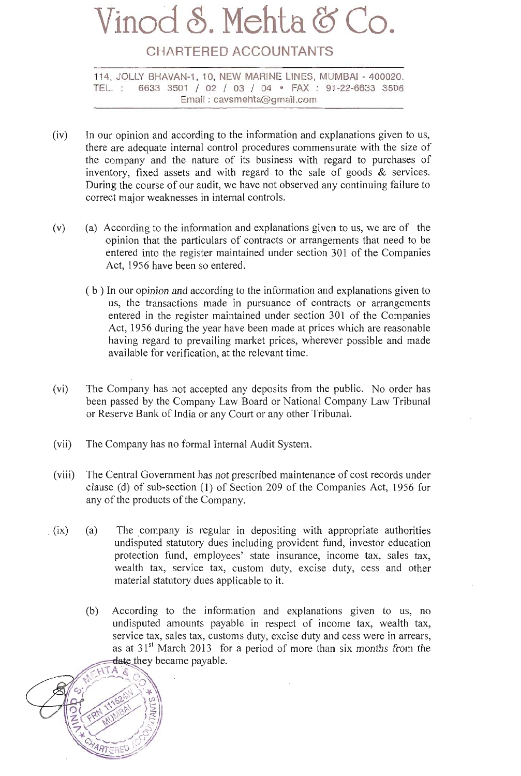## Vinod S. Mehta &

### **CHARTERED ACCOUNTANTS**

114. JOLLY BHAVAN-1, 10. NEW MARINE LINES, MUMBAI - 400020. 6633 3501 / 02 / 03 / 04 · FAX : 91-22-6633 3506 TEL. Email: cavsmehta@gmail.com

- $(iv)$ In our opinion and according to the information and explanations given to us, there are adequate internal control procedures commensurate with the size of the company and the nature of its business with regard to purchases of inventory, fixed assets and with regard to the sale of goods  $\&$  services. During the course of our audit, we have not observed any continuing failure to correct major weaknesses in internal controls.
- $(v)$ (a) According to the information and explanations given to us, we are of the opinion that the particulars of contracts or arrangements that need to be entered into the register maintained under section 301 of the Companies Act, 1956 have been so entered.
	- (b) In our opinion and according to the information and explanations given to us, the transactions made in pursuance of contracts or arrangements entered in the register maintained under section 301 of the Companies Act, 1956 during the year have been made at prices which are reasonable having regard to prevailing market prices, wherever possible and made available for verification, at the relevant time.
- $(vi)$ The Company has not accepted any deposits from the public. No order has been passed by the Company Law Board or National Company Law Tribunal or Reserve Bank of India or any Court or any other Tribunal.
- The Company has no formal Internal Audit System.  $(vii)$
- The Central Government has not prescribed maintenance of cost records under  $(viii)$ clause (d) of sub-section (1) of Section 209 of the Companies Act, 1956 for any of the products of the Company.
- $(a)$  $(ix)$ The company is regular in depositing with appropriate authorities undisputed statutory dues including provident fund, investor education protection fund, employees' state insurance, income tax, sales tax, wealth tax, service tax, custom duty, excise duty, cess and other material statutory dues applicable to it.
	- $(b)$ According to the information and explanations given to us, no undisputed amounts payable in respect of income tax, wealth tax, service tax, sales tax, customs duty, excise duty and cess were in arrears, as at  $31<sup>st</sup>$  March 2013 for a period of more than six months from the date they became payable.

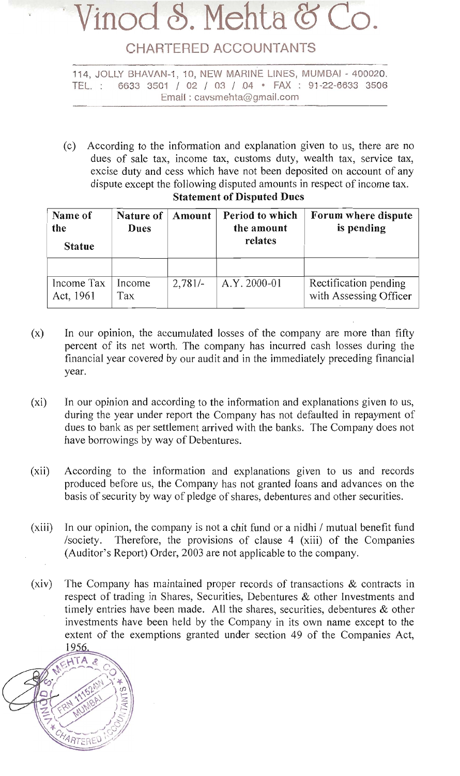## Vinod S. Mehta &

### **CHARTERED ACCOUNTANTS**

114, JOLLY BHAVAN-1, 10, NEW MARINE LINES, MUMBAI - 400020. 6633 3501 / 02 / 03 / 04 · FAX : 91-22-6633 3506 TEL. : Email: cavsmehta@gmail.com

(c) According to the information and explanation given to us, there are no dues of sale tax, income tax, customs duty, wealth tax, service tax, excise duty and cess which have not been deposited on account of any dispute except the following disputed amounts in respect of income tax.

| Name of<br>the<br><b>Statue</b> | Nature of<br>Period to which<br>Amount<br>the amount<br>Dues<br>relates |           | Forum where dispute<br>is pending |                                                 |
|---------------------------------|-------------------------------------------------------------------------|-----------|-----------------------------------|-------------------------------------------------|
|                                 |                                                                         |           |                                   |                                                 |
| Income Tax<br>Act, 1961         | Income<br>Tax                                                           | $2,781/-$ | A.Y. 2000-01                      | Rectification pending<br>with Assessing Officer |

### **Statement of Disputed Dues**

- $(x)$ In our opinion, the accumulated losses of the company are more than fifty percent of its net worth. The company has incurred cash losses during the financial year covered by our audit and in the immediately preceding financial year.
- In our opinion and according to the information and explanations given to us,  $(xi)$ during the year under report the Company has not defaulted in repayment of dues to bank as per settlement arrived with the banks. The Company does not have borrowings by way of Debentures.
- According to the information and explanations given to us and records  $(xii)$ produced before us, the Company has not granted loans and advances on the basis of security by way of pledge of shares, debentures and other securities.
- $(xiii)$ In our opinion, the company is not a chit fund or a nidhi / mutual benefit fund /society. Therefore, the provisions of clause 4 (xiii) of the Companies (Auditor's Report) Order, 2003 are not applicable to the company.
- $(xiv)$ The Company has maintained proper records of transactions & contracts in respect of trading in Shares, Securities, Debentures & other Investments and timely entries have been made. All the shares, securities, debentures  $\&$  other investments have been held by the Company in its own name except to the extent of the exemptions granted under section 49 of the Companies Act, 1956.

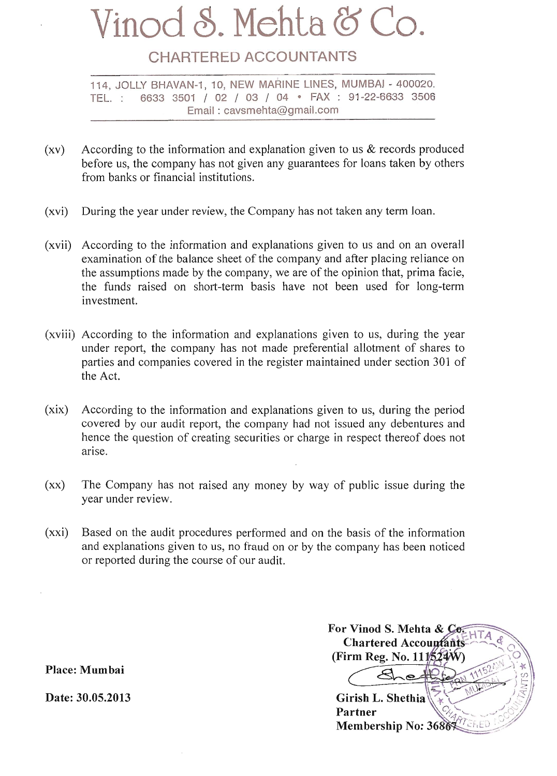# Vinod S. Mehta & Co.

### **CHARTERED ACCOUNTANTS**

114, JOLLY BHAVAN-1, 10, NEW MARINE LINES, MUMBAI - 400020. TEL. : 6633 3501 / 02 / 03 / 04 · FAX : 91-22-6633 3506 Email: cavsmehta@gmail.com

- According to the information and explanation given to us  $\&$  records produced  $(xy)$ before us, the company has not given any guarantees for loans taken by others from banks or financial institutions.
- During the year under review, the Company has not taken any term loan.  $(xvi)$
- $(xvii)$ According to the information and explanations given to us and on an overall examination of the balance sheet of the company and after placing reliance on the assumptions made by the company, we are of the opinion that, prima facie, the funds raised on short-term basis have not been used for long-term investment.
- (xviii) According to the information and explanations given to us, during the year under report, the company has not made preferential allotment of shares to parties and companies covered in the register maintained under section 301 of the Act.
- $(xix)$ According to the information and explanations given to us, during the period covered by our audit report, the company had not issued any debentures and hence the question of creating securities or charge in respect thereof does not arise.
- The Company has not raised any money by way of public issue during the  $(xx)$ year under review.
- Based on the audit procedures performed and on the basis of the information  $(xxi)$ and explanations given to us, no fraud on or by the company has been noticed or reported during the course of our audit.

For Vinod S. Mehta & Co.  $ATA$ **Chartered Accountants** (Firm Reg. No.  $111\frac{22}{3}$ W)  $\sim$   $\sim$ Girish L. Shethia Partner Membership No: 3686527ERED

Place: Mumbai

Date: 30.05.2013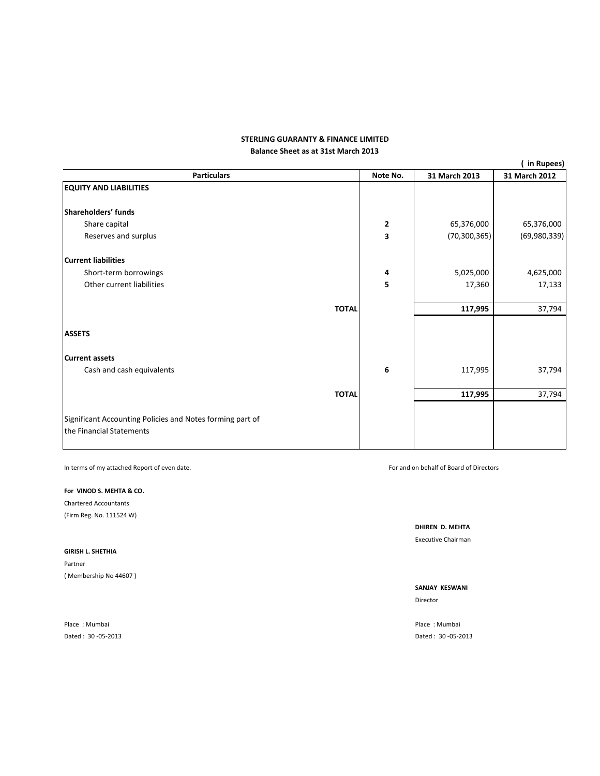### **Balance Sheet as at 31st March 2013 STERLING GUARANTY & FINANCE LIMITED**

|                                                                                       |              |              |                | (in Rupees)   |
|---------------------------------------------------------------------------------------|--------------|--------------|----------------|---------------|
| <b>Particulars</b>                                                                    |              | Note No.     | 31 March 2013  | 31 March 2012 |
| <b>EQUITY AND LIABILITIES</b>                                                         |              |              |                |               |
| Shareholders' funds                                                                   |              |              |                |               |
| Share capital                                                                         |              | $\mathbf{2}$ | 65,376,000     | 65,376,000    |
| Reserves and surplus                                                                  |              | 3            | (70, 300, 365) | (69,980,339)  |
| <b>Current liabilities</b>                                                            |              |              |                |               |
| Short-term borrowings                                                                 |              | 4            | 5,025,000      | 4,625,000     |
| Other current liabilities                                                             |              | 5            | 17,360         | 17,133        |
|                                                                                       | <b>TOTAL</b> |              | 117,995        | 37,794        |
| <b>ASSETS</b>                                                                         |              |              |                |               |
| <b>Current assets</b>                                                                 |              |              |                |               |
| Cash and cash equivalents                                                             |              | 6            | 117,995        | 37,794        |
|                                                                                       | <b>TOTAL</b> |              | 117,995        | 37,794        |
| Significant Accounting Policies and Notes forming part of<br>the Financial Statements |              |              |                |               |

In terms of my attached Report of even date. **Solution** that the state of the state of Board of Directors of Directors and on behalf of Board of Directors

**For VINOD S. MEHTA & CO.**

Chartered Accountants (Firm Reg. No. 111524 W)

**GIRISH L. SHETHIA** Partner

( Membership No 44607 )

Place : Mumbai **Place : Mumbai** Place : Mumbai Place : Mumbai Place : Mumbai Place : Mumbai Place : Mumbai

**DHIREN D. MEHTA** Executive Chairman

**SANJAY KESWANI**

Director

Dated : 30 ‐05‐2013 Dated : 30 ‐05‐2013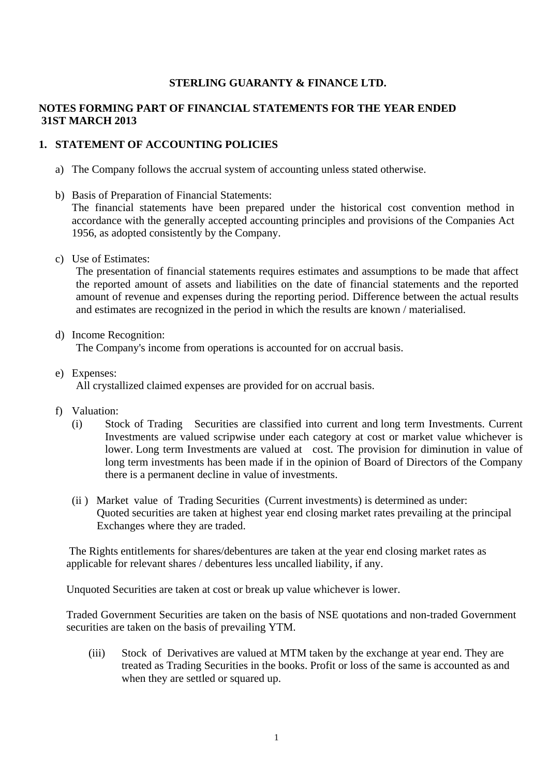### **STERLING GUARANTY & FINANCE LTD.**

### **NOTES FORMING PART OF FINANCIAL STATEMENTS FOR THE YEAR ENDED 31ST MARCH 2013**

### **1. STATEMENT OF ACCOUNTING POLICIES**

- a) The Company follows the accrual system of accounting unless stated otherwise.
- b) Basis of Preparation of Financial Statements:

The financial statements have been prepared under the historical cost convention method in accordance with the generally accepted accounting principles and provisions of the Companies Act 1956, as adopted consistently by the Company.

c) Use of Estimates:

The presentation of financial statements requires estimates and assumptions to be made that affect the reported amount of assets and liabilities on the date of financial statements and the reported amount of revenue and expenses during the reporting period. Difference between the actual results and estimates are recognized in the period in which the results are known / materialised.

d) Income Recognition:

The Company's income from operations is accounted for on accrual basis.

e) Expenses:

All crystallized claimed expenses are provided for on accrual basis.

- f) Valuation:
	- (i) Stock of Trading Securities are classified into current and long term Investments. Current Investments are valued scripwise under each category at cost or market value whichever is lower. Long term Investments are valued at cost. The provision for diminution in value of long term investments has been made if in the opinion of Board of Directors of the Company there is a permanent decline in value of investments.
	- (ii ) Market value of Trading Securities (Current investments) is determined as under: Quoted securities are taken at highest year end closing market rates prevailing at the principal Exchanges where they are traded.

 The Rights entitlements for shares/debentures are taken at the year end closing market rates as applicable for relevant shares / debentures less uncalled liability, if any.

Unquoted Securities are taken at cost or break up value whichever is lower.

Traded Government Securities are taken on the basis of NSE quotations and non-traded Government securities are taken on the basis of prevailing YTM.

(iii) Stock of Derivatives are valued at MTM taken by the exchange at year end. They are treated as Trading Securities in the books. Profit or loss of the same is accounted as and when they are settled or squared up.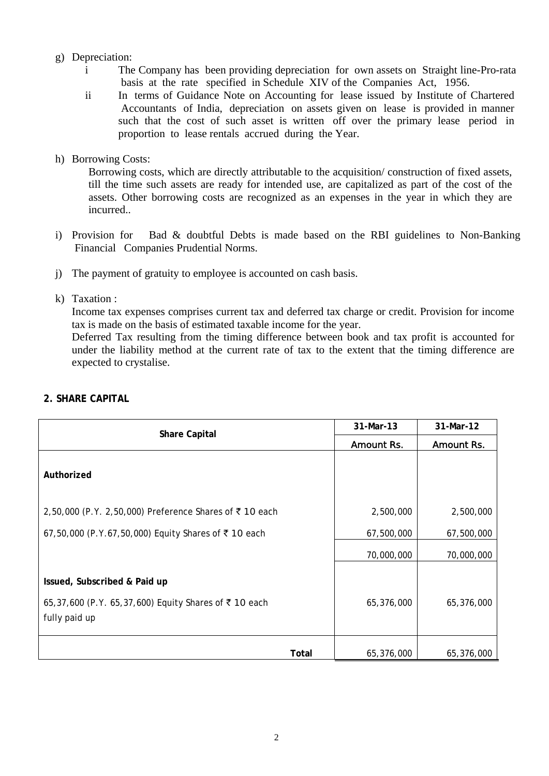### g) Depreciation:

- i The Company has been providing depreciation for own assets on Straight line-Pro-rata basis at the rate specified in Schedule XIV of the Companies Act, 1956.
- ii In terms of Guidance Note on Accounting for lease issued by Institute of Chartered Accountants of India, depreciation on assets given on lease is provided in manner such that the cost of such asset is written off over the primary lease period in proportion to lease rentals accrued during the Year.

### h) Borrowing Costs:

Borrowing costs, which are directly attributable to the acquisition/ construction of fixed assets, till the time such assets are ready for intended use, are capitalized as part of the cost of the assets. Other borrowing costs are recognized as an expenses in the year in which they are incurred..

- i) Provision for Bad & doubtful Debts is made based on the RBI guidelines to Non-Banking Financial Companies Prudential Norms.
- j) The payment of gratuity to employee is accounted on cash basis.

### k) Taxation :

Income tax expenses comprises current tax and deferred tax charge or credit. Provision for income tax is made on the basis of estimated taxable income for the year.

Deferred Tax resulting from the timing difference between book and tax profit is accounted for under the liability method at the current rate of tax to the extent that the timing difference are expected to crystalise.

| <b>Share Capital</b>                                                                                  | 31-Mar-13  | 31-Mar-12  |
|-------------------------------------------------------------------------------------------------------|------------|------------|
|                                                                                                       | Amount Rs. | Amount Rs. |
| Authorized                                                                                            |            |            |
| 2,50,000 (P.Y. 2,50,000) Preference Shares of ₹10 each                                                | 2,500,000  | 2,500,000  |
| 67,50,000 (P.Y.67,50,000) Equity Shares of ₹10 each                                                   | 67,500,000 | 67,500,000 |
|                                                                                                       | 70,000,000 | 70,000,000 |
| Issued, Subscribed & Paid up<br>65,37,600 (P.Y. 65,37,600) Equity Shares of ₹10 each<br>fully paid up | 65,376,000 | 65,376,000 |
| Total                                                                                                 | 65,376,000 | 65,376,000 |

### **2. SHARE CAPITAL**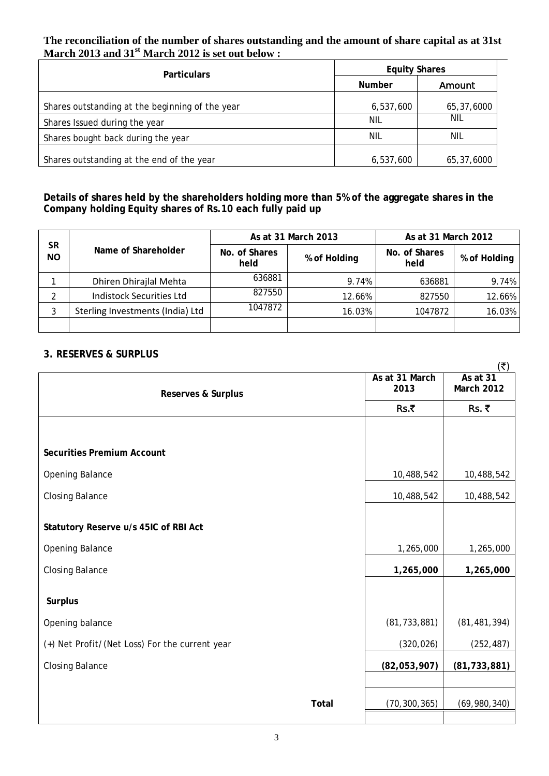### **The reconciliation of the number of shares outstanding and the amount of share capital as at 31st March 2013 and 31st March 2012 is set out below :**

| <b>Particulars</b>                              | <b>Equity Shares</b> |            |  |
|-------------------------------------------------|----------------------|------------|--|
|                                                 | Number               | Amount     |  |
| Shares outstanding at the beginning of the year | 6,537,600            | 65,37,6000 |  |
| Shares Issued during the year                   | NIL                  | NIL        |  |
| Shares bought back during the year              | NIL                  | NIL        |  |
| Shares outstanding at the end of the year       | 6,537,600            | 65,37,6000 |  |

### **Details of shares held by the shareholders holding more than 5% of the aggregate shares in the Company holding Equity shares of Rs.10 each fully paid up**

|                        |                                  |                       | As at 31 March 2013 | As at 31 March 2012   |              |  |
|------------------------|----------------------------------|-----------------------|---------------------|-----------------------|--------------|--|
| <b>SR</b><br><b>NO</b> | Name of Shareholder              | No. of Shares<br>held | % of Holding        | No. of Shares<br>held | % of Holding |  |
|                        | Dhiren Dhirajlal Mehta           | 636881                | 9.74%               | 636881                | 9.74%        |  |
|                        | <b>Indistock Securities Ltd</b>  | 827550                | 12.66%              | 827550                | 12.66%       |  |
| 3                      | Sterling Investments (India) Ltd | 1047872               | 16.03%              | 1047872               | 16.03%       |  |
|                        |                                  |                       |                     |                       |              |  |

### **3. RESERVES & SURPLUS**

|                                                |       |                        | $(\overline{\mathbf{z}})$       |
|------------------------------------------------|-------|------------------------|---------------------------------|
| <b>Reserves &amp; Surplus</b>                  |       | As at 31 March<br>2013 | As at $31$<br><b>March 2012</b> |
|                                                |       | Rs.₹                   | Rs. ₹                           |
|                                                |       |                        |                                 |
| <b>Securities Premium Account</b>              |       |                        |                                 |
| Opening Balance                                |       | 10,488,542             | 10,488,542                      |
| <b>Closing Balance</b>                         |       | 10,488,542             | 10,488,542                      |
| Statutory Reserve u/s 45IC of RBI Act          |       |                        |                                 |
| Opening Balance                                |       | 1,265,000              | 1,265,000                       |
| <b>Closing Balance</b>                         |       | 1,265,000              | 1,265,000                       |
| <b>Surplus</b>                                 |       |                        |                                 |
| Opening balance                                |       | (81, 733, 881)         | (81, 481, 394)                  |
| (+) Net Profit/(Net Loss) For the current year |       | (320, 026)             | (252, 487)                      |
| <b>Closing Balance</b>                         |       | (82,053,907)           | (81, 733, 881)                  |
|                                                |       |                        |                                 |
|                                                | Total | (70, 300, 365)         | (69,980,340)                    |
|                                                |       |                        |                                 |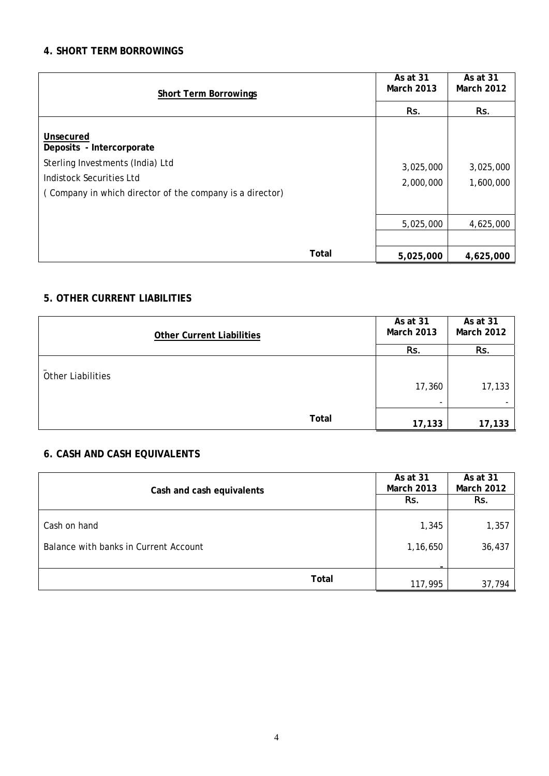### **4. SHORT TERM BORROWINGS**

| <b>Short Term Borrowings</b>                                                                                                                                       |       | As at 31<br><b>March 2013</b> | As at 31<br><b>March 2012</b> |  |
|--------------------------------------------------------------------------------------------------------------------------------------------------------------------|-------|-------------------------------|-------------------------------|--|
|                                                                                                                                                                    | Rs.   | Rs.                           |                               |  |
| Unsecured<br>Deposits - Intercorporate<br>Sterling Investments (India) Ltd<br>Indistock Securities Ltd<br>(Company in which director of the company is a director) |       | 3,025,000<br>2,000,000        | 3,025,000<br>1,600,000        |  |
|                                                                                                                                                                    |       | 5,025,000                     | 4,625,000                     |  |
|                                                                                                                                                                    |       |                               |                               |  |
|                                                                                                                                                                    | Total | 5,025,000                     | 4,625,000                     |  |

### **5. OTHER CURRENT LIABILITIES**

|                          | <b>Other Current Liabilities</b> |       | As at 31<br><b>March 2013</b> | As at 31<br><b>March 2012</b> |
|--------------------------|----------------------------------|-------|-------------------------------|-------------------------------|
|                          |                                  |       | Rs.                           | Rs.                           |
| <b>Other Liabilities</b> |                                  |       | 17,360<br>۰                   | 17,133                        |
|                          |                                  | Total | 17,133                        | 17,133                        |

### **6. CASH AND CASH EQUIVALENTS**

| Cash and cash equivalents             | As at 31<br><b>March 2013</b><br>Rs. | As at 31<br><b>March 2012</b><br>Rs. |        |
|---------------------------------------|--------------------------------------|--------------------------------------|--------|
| Cash on hand                          |                                      | 1,345                                | 1,357  |
| Balance with banks in Current Account |                                      | 1,16,650                             | 36,437 |
| Total                                 |                                      | 117,995                              | 37,794 |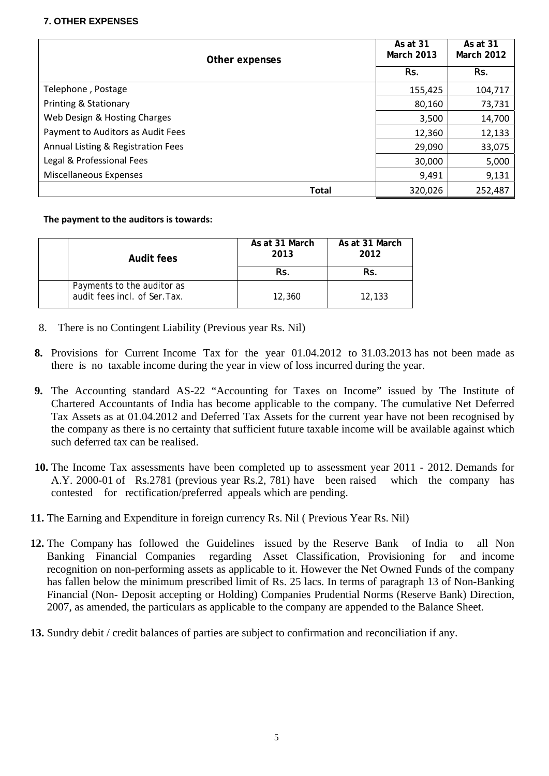### **7. OTHER EXPENSES**

| Other expenses                     |              |         | As at 31<br><b>March 2012</b> |
|------------------------------------|--------------|---------|-------------------------------|
|                                    | Rs.          | Rs.     |                               |
| Telephone, Postage                 |              | 155,425 | 104,717                       |
| Printing & Stationary              |              | 80,160  | 73,731                        |
| Web Design & Hosting Charges       |              | 3,500   | 14,700                        |
| Payment to Auditors as Audit Fees  |              | 12,360  | 12,133                        |
| Annual Listing & Registration Fees |              | 29,090  | 33,075                        |
| Legal & Professional Fees          |              | 30,000  | 5,000                         |
| Miscellaneous Expenses             |              | 9,491   | 9,131                         |
|                                    | <b>Total</b> | 320,026 | 252,487                       |

**The payment to the auditors is towards:**

| Audit fees                                                  | As at 31 March<br>2013 | As at 31 March<br>2012 |
|-------------------------------------------------------------|------------------------|------------------------|
|                                                             | Rs.                    | Rs.                    |
| Payments to the auditor as<br>audit fees incl. of Ser. Tax. | 12,360                 | 12,133                 |

- 8. There is no Contingent Liability (Previous year Rs. Nil)
- **8.** Provisions for Current Income Tax for the year 01.04.2012 to 31.03.2013 has not been made as there is no taxable income during the year in view of loss incurred during the year.
- **9.** The Accounting standard AS-22 "Accounting for Taxes on Income" issued by The Institute of Chartered Accountants of India has become applicable to the company. The cumulative Net Deferred Tax Assets as at 01.04.2012 and Deferred Tax Assets for the current year have not been recognised by the company as there is no certainty that sufficient future taxable income will be available against which such deferred tax can be realised.
- **10.** The Income Tax assessments have been completed up to assessment year 2011 2012. Demands for A.Y. 2000-01 of Rs.2781 (previous year Rs.2, 781) have been raised which the company has contested for rectification/preferred appeals which are pending.
- **11.** The Earning and Expenditure in foreign currency Rs. Nil ( Previous Year Rs. Nil)
- **12.** The Company has followed the Guidelines issued by the Reserve Bank of India to all Non Banking Financial Companies regarding Asset Classification, Provisioning for and income recognition on non-performing assets as applicable to it. However the Net Owned Funds of the company has fallen below the minimum prescribed limit of Rs. 25 lacs. In terms of paragraph 13 of Non-Banking Financial (Non- Deposit accepting or Holding) Companies Prudential Norms (Reserve Bank) Direction, 2007, as amended, the particulars as applicable to the company are appended to the Balance Sheet.
- **13.** Sundry debit / credit balances of parties are subject to confirmation and reconciliation if any.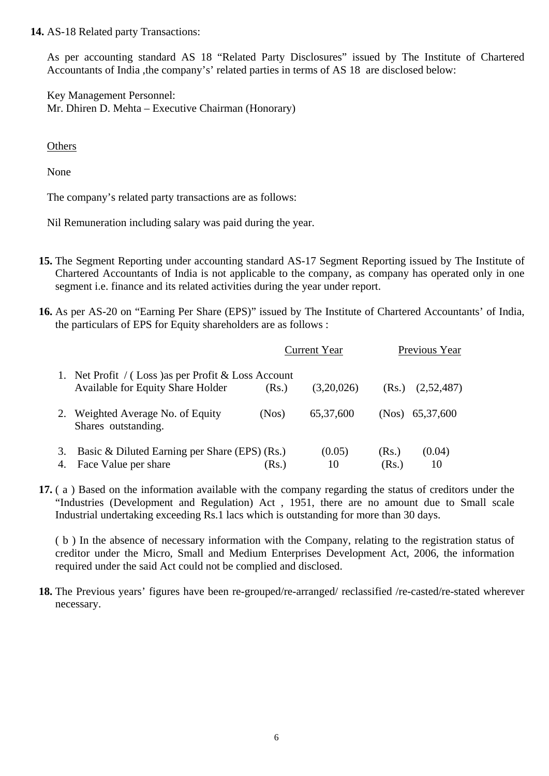**14.** AS-18 Related party Transactions:

As per accounting standard AS 18 "Related Party Disclosures" issued by The Institute of Chartered Accountants of India ,the company's' related parties in terms of AS 18 are disclosed below:

Key Management Personnel: Mr. Dhiren D. Mehta – Executive Chairman (Honorary)

**Others** 

None

The company's related party transactions are as follows:

Nil Remuneration including salary was paid during the year.

- **15.** The Segment Reporting under accounting standard AS-17 Segment Reporting issued by The Institute of Chartered Accountants of India is not applicable to the company, as company has operated only in one segment i.e. finance and its related activities during the year under report.
- **16.** As per AS-20 on "Earning Per Share (EPS)" issued by The Institute of Chartered Accountants' of India, the particulars of EPS for Equity shareholders are as follows :

|    |                                                                                                 |       | <b>Current Year</b> |       | Previous Year |  |
|----|-------------------------------------------------------------------------------------------------|-------|---------------------|-------|---------------|--|
|    | 1. Net Profit / (Loss) as per Profit & Loss Account<br><b>Available for Equity Share Holder</b> | (Rs.) | (3,20,026)          | (Rs.) | (2,52,487)    |  |
| 2. | Weighted Average No. of Equity<br>Shares outstanding.                                           | (Nos) | 65, 37, 600         | (Nos) | 65,37,600     |  |
| 3. | Basic & Diluted Earning per Share (EPS) (Rs.)                                                   |       | (0.05)              | (Rs.) | (0.04)        |  |
| 4. | Face Value per share                                                                            | (Rs.) | 10                  | (Rs.) | 10            |  |

**17.** ( a ) Based on the information available with the company regarding the status of creditors under the "Industries (Development and Regulation) Act , 1951, there are no amount due to Small scale Industrial undertaking exceeding Rs.1 lacs which is outstanding for more than 30 days.

( b ) In the absence of necessary information with the Company, relating to the registration status of creditor under the Micro, Small and Medium Enterprises Development Act, 2006, the information required under the said Act could not be complied and disclosed.

**18.** The Previous years' figures have been re-grouped/re-arranged/ reclassified /re-casted/re-stated wherever necessary.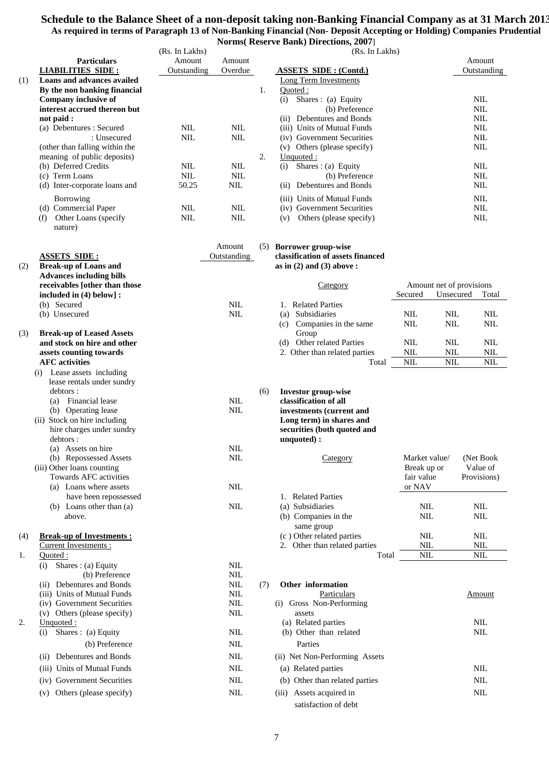### **Schedule to the Balance Sheet of a non-deposit taking non-Banking Financial Company as at 31 March 2013 As required in terms of Paragraph 13 of Non-Banking Financial (Non- Deposit Accepting or Holding) Companies Prudential**

|     |                                                          |                          |                            |     | <b>Norms</b> (Reserve Bank) Directions, 2007]                |                          |            |                            |
|-----|----------------------------------------------------------|--------------------------|----------------------------|-----|--------------------------------------------------------------|--------------------------|------------|----------------------------|
|     |                                                          | (Rs. In Lakhs)           |                            |     | (Rs. In Lakhs)                                               |                          |            |                            |
|     | <b>Particulars</b>                                       | Amount                   | Amount                     |     |                                                              |                          |            | Amount                     |
|     | <b>LIABILITIES SIDE:</b>                                 | Outstanding              | Overdue                    |     | <b>ASSETS SIDE: (Contd.)</b>                                 |                          |            | Outstanding                |
| (1) | Loans and advances availed                               |                          |                            |     | Long Term Investments                                        |                          |            |                            |
|     | By the non banking financial                             |                          |                            | 1.  | Quoted:                                                      |                          |            |                            |
|     | Company inclusive of<br>interest accrued thereon but     |                          |                            |     | (i) Shares: (a) Equity<br>(b) Preference                     |                          |            | <b>NIL</b><br><b>NIL</b>   |
|     | not paid :                                               |                          |                            |     | (ii) Debentures and Bonds                                    |                          |            | <b>NIL</b>                 |
|     | (a) Debentures : Secured                                 | <b>NIL</b>               | <b>NIL</b>                 |     | (iii) Units of Mutual Funds                                  |                          |            | <b>NIL</b>                 |
|     | : Unsecured                                              | <b>NIL</b>               | <b>NIL</b>                 |     | (iv) Government Securities                                   |                          |            | <b>NIL</b>                 |
|     | (other than falling within the                           |                          |                            |     | (v) Others (please specify)                                  |                          |            | <b>NIL</b>                 |
|     | meaning of public deposits)                              |                          |                            | 2.  | Unquoted:                                                    |                          |            |                            |
|     | (b) Deferred Credits                                     | <b>NIL</b><br><b>NIL</b> | <b>NIL</b>                 |     | Shares: (a) Equity<br>(i)                                    |                          |            | <b>NIL</b>                 |
|     | (c) Term Loans<br>(d) Inter-corporate loans and          | 50.25                    | $\text{NIL}$<br><b>NIL</b> |     | (b) Preference<br>(ii) Debentures and Bonds                  |                          |            | $\text{NIL}$<br><b>NIL</b> |
|     |                                                          |                          |                            |     |                                                              |                          |            |                            |
|     | Borrowing<br>(d) Commercial Paper                        | <b>NIL</b>               | <b>NIL</b>                 |     | (iii) Units of Mutual Funds<br>(iv) Government Securities    |                          |            | <b>NIL</b><br><b>NIL</b>   |
|     | Other Loans (specify<br>(f)                              | <b>NIL</b>               | $\mbox{NIL}$               |     | Others (please specify)<br>(v)                               |                          |            | <b>NIL</b>                 |
|     | nature)                                                  |                          |                            |     |                                                              |                          |            |                            |
|     |                                                          |                          |                            |     |                                                              |                          |            |                            |
|     | <b>ASSETS SIDE:</b>                                      |                          | Amount<br>Outstanding      |     | (5) Borrower group-wise<br>classification of assets financed |                          |            |                            |
| (2) | <b>Break-up of Loans and</b>                             |                          |                            |     | as in $(2)$ and $(3)$ above:                                 |                          |            |                            |
|     | <b>Advances including bills</b>                          |                          |                            |     |                                                              |                          |            |                            |
|     | receivables [other than those                            |                          |                            |     | Category                                                     |                          |            | Amount net of provisions   |
|     | included in (4) below] :<br>(b) Secured                  |                          | <b>NIL</b>                 |     | 1. Related Parties                                           | Secured                  | Unsecured  | Total                      |
|     | (b) Unsecured                                            |                          | <b>NIL</b>                 |     | (a) Subsidiaries                                             | <b>NIL</b>               | <b>NIL</b> | <b>NIL</b>                 |
|     |                                                          |                          |                            |     | (c) Companies in the same                                    | <b>NIL</b>               | <b>NIL</b> | <b>NIL</b>                 |
| (3) | <b>Break-up of Leased Assets</b>                         |                          |                            |     | Group                                                        |                          |            |                            |
|     | and stock on hire and other                              |                          |                            |     | (d) Other related Parties                                    | <b>NIL</b>               | <b>NIL</b> | <b>NIL</b>                 |
|     | assets counting towards                                  |                          |                            |     | 2. Other than related parties                                | <b>NIL</b>               | <b>NIL</b> | $\rm NIL$                  |
|     | <b>AFC</b> activities                                    |                          |                            |     | Total                                                        | <b>NIL</b>               | <b>NIL</b> | <b>NIL</b>                 |
|     | (i) Lease assets including<br>lease rentals under sundry |                          |                            |     |                                                              |                          |            |                            |
|     | debtors :                                                |                          |                            | (6) | <b>Investor group-wise</b>                                   |                          |            |                            |
|     | (a) Financial lease                                      |                          | <b>NIL</b>                 |     | classification of all                                        |                          |            |                            |
|     | (b) Operating lease                                      |                          | <b>NIL</b>                 |     | investments (current and                                     |                          |            |                            |
|     | (ii) Stock on hire including                             |                          |                            |     | Long term) in shares and                                     |                          |            |                            |
|     | hire charges under sundry                                |                          |                            |     | securities (both quoted and                                  |                          |            |                            |
|     | debtors :<br>(a) Assets on hire                          |                          | $\text{NIL}$               |     | unquoted):                                                   |                          |            |                            |
|     | (b) Repossessed Assets                                   |                          | <b>NIL</b>                 |     | Category                                                     | Market value/            |            | (Net Book                  |
|     | (iii) Other loans counting                               |                          |                            |     |                                                              | Break up or              |            | Value of                   |
|     | Towards AFC activities                                   |                          |                            |     |                                                              | fair value               |            | Provisions)                |
|     | (a) Loans where assets                                   |                          | <b>NIL</b>                 |     |                                                              | or NAV                   |            |                            |
|     | have been repossessed                                    |                          |                            |     | 1. Related Parties                                           |                          |            |                            |
|     | (b) Loans other than (a)<br>above.                       |                          | <b>NIL</b>                 |     | (a) Subsidiaries<br>(b) Companies in the                     | <b>NIL</b><br><b>NIL</b> |            | <b>NIL</b><br>NIL          |
|     |                                                          |                          |                            |     | same group                                                   |                          |            |                            |
| (4) | <b>Break-up of Investments:</b>                          |                          |                            |     | (c) Other related parties                                    | <b>NIL</b>               |            | NIL                        |
|     | Current Investments:                                     |                          |                            |     | 2. Other than related parties                                | <b>NIL</b>               |            | <b>NIL</b>                 |
| 1.  | Quoted:                                                  |                          |                            |     | Total                                                        | <b>NIL</b>               |            | NIL                        |
|     | Shares : (a) Equity<br>(i)<br>(b) Preference             |                          | <b>NIL</b><br><b>NIL</b>   |     |                                                              |                          |            |                            |
|     | (ii) Debentures and Bonds                                |                          | <b>NIL</b>                 | (7) | Other information                                            |                          |            |                            |
|     | (iii) Units of Mutual Funds                              |                          | NIL                        |     | Particulars                                                  |                          |            | Amount                     |
|     | (iv) Government Securities                               |                          | <b>NIL</b>                 |     | (i) Gross Non-Performing                                     |                          |            |                            |
|     | (v) Others (please specify)                              |                          | NIL                        |     | assets                                                       |                          |            |                            |
| 2.  | Unquoted:                                                |                          |                            |     | (a) Related parties                                          |                          |            | NIL                        |
|     | Shares: (a) Equity<br>(i)                                |                          | <b>NIL</b>                 |     | (b) Other than related                                       |                          |            | NIL                        |
|     | (b) Preference                                           |                          | <b>NIL</b>                 |     | Parties                                                      |                          |            |                            |
|     | (ii) Debentures and Bonds                                |                          | <b>NIL</b>                 |     | (ii) Net Non-Performing Assets                               |                          |            |                            |
|     | (iii) Units of Mutual Funds                              |                          | <b>NIL</b>                 |     | (a) Related parties                                          |                          |            | <b>NIL</b>                 |
|     | (iv) Government Securities                               |                          | NIL                        |     | (b) Other than related parties                               |                          |            | <b>NIL</b>                 |
|     | (v) Others (please specify)                              |                          | $\mbox{NIL}$               |     | (iii) Assets acquired in                                     |                          |            | $\mbox{NIL}$               |

satisfaction of debt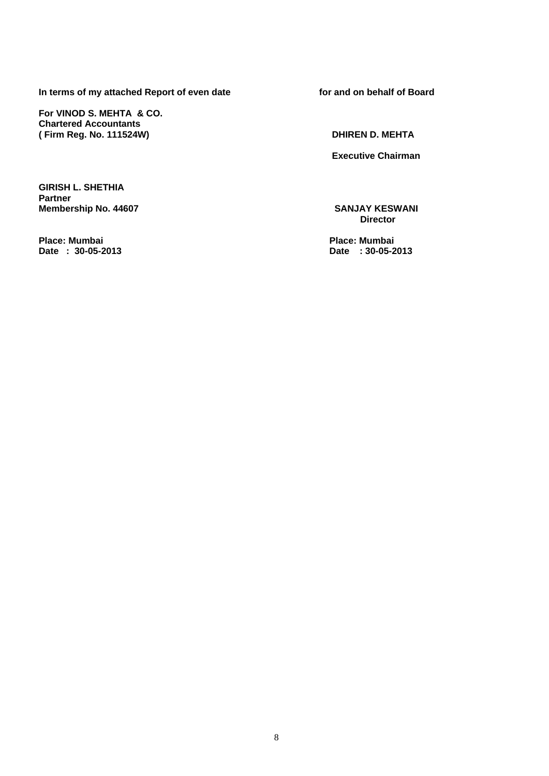In terms of my attached Report of even date **for and on behalf of Board** 

**For VINOD S. MEHTA & CO. Chartered Accountants ( Firm Reg. No. 111524W) DHIREN D. MEHTA** 

**Executive Chairman** 

**GIRISH L. SHETHIA Partner** 

**Place: Mumbai Place: Mumbai** 

**Membership No. 44607** SANJAY KESWANI **SANJAY KESWANI Director** 

Date : 30-05-2013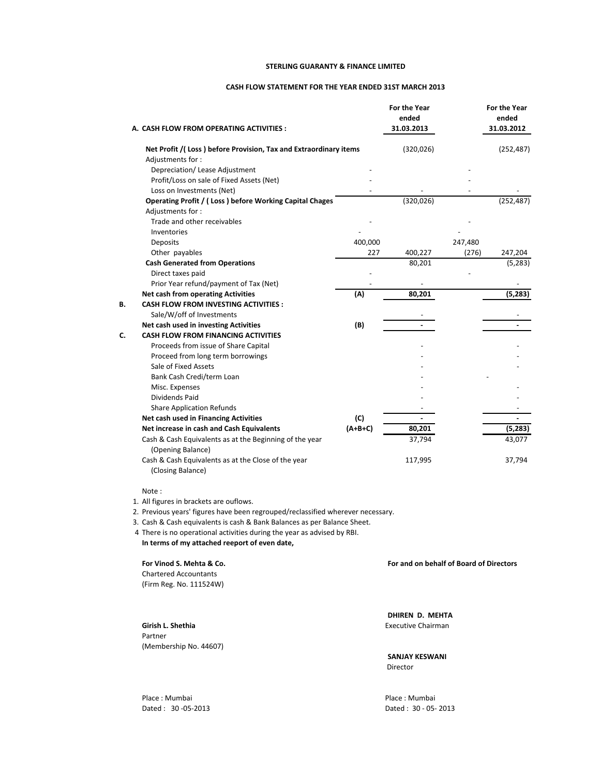#### **STERLING GUARANTY & FINANCE LIMITED**

#### **CASH FLOW STATEMENT FOR THE YEAR ENDED 31ST MARCH 2013**

|    | A. CASH FLOW FROM OPERATING ACTIVITIES :                                             |           | <b>For the Year</b><br>ended<br>31.03.2013 |         | <b>For the Year</b><br>ended<br>31.03.2012 |
|----|--------------------------------------------------------------------------------------|-----------|--------------------------------------------|---------|--------------------------------------------|
|    | Net Profit /(Loss) before Provision, Tax and Extraordinary items                     |           | (320, 026)                                 |         | (252, 487)                                 |
|    | Adjustments for:                                                                     |           |                                            |         |                                            |
|    | Depreciation/ Lease Adjustment                                                       |           |                                            |         |                                            |
|    | Profit/Loss on sale of Fixed Assets (Net)                                            |           |                                            |         |                                            |
|    | Loss on Investments (Net)<br>Operating Profit / (Loss) before Working Capital Chages |           | (320, 026)                                 |         | (252, 487)                                 |
|    | Adjustments for:                                                                     |           |                                            |         |                                            |
|    | Trade and other receivables                                                          |           |                                            |         |                                            |
|    | Inventories                                                                          |           |                                            |         |                                            |
|    | Deposits                                                                             | 400,000   |                                            | 247,480 |                                            |
|    | Other payables                                                                       | 227       | 400,227                                    | (276)   | 247,204                                    |
|    | <b>Cash Generated from Operations</b>                                                |           | 80,201                                     |         | (5,283)                                    |
|    | Direct taxes paid                                                                    |           |                                            |         |                                            |
|    | Prior Year refund/payment of Tax (Net)                                               |           |                                            |         |                                            |
|    | <b>Net cash from operating Activities</b>                                            | (A)       | 80,201                                     |         | (5, 283)                                   |
| B. | <b>CASH FLOW FROM INVESTING ACTIVITIES:</b>                                          |           |                                            |         |                                            |
|    | Sale/W/off of Investments                                                            |           |                                            |         |                                            |
|    | Net cash used in investing Activities                                                | (B)       |                                            |         |                                            |
| C. | <b>CASH FLOW FROM FINANCING ACTIVITIES</b>                                           |           |                                            |         |                                            |
|    | Proceeds from issue of Share Capital                                                 |           |                                            |         |                                            |
|    | Proceed from long term borrowings                                                    |           |                                            |         |                                            |
|    | Sale of Fixed Assets                                                                 |           |                                            |         |                                            |
|    | Bank Cash Credi/term Loan                                                            |           |                                            |         |                                            |
|    | Misc. Expenses                                                                       |           |                                            |         |                                            |
|    | <b>Dividends Paid</b>                                                                |           |                                            |         |                                            |
|    | <b>Share Application Refunds</b><br>Net cash used in Financing Activities            | (C)       |                                            |         |                                            |
|    | Net increase in cash and Cash Equivalents                                            | $(A+B+C)$ | 80,201                                     |         | (5, 283)                                   |
|    | Cash & Cash Equivalents as at the Beginning of the year                              |           | 37,794                                     |         | 43,077                                     |
|    | (Opening Balance)                                                                    |           |                                            |         |                                            |
|    | Cash & Cash Equivalents as at the Close of the year<br>(Closing Balance)             |           | 117,995                                    |         | 37,794                                     |

#### Note :

1. All figures in brackets are ouflows.

2. Previous years' figures have been regrouped/reclassified wherever necessary.

3. Cash & Cash equivalents is cash & Bank Balances as per Balance Sheet.

4 There is no operational activities during the year as advised by RBI.

**In terms of my attached reeport of even date,**

**For Vinod S. Mehta & Co. For and on behalf of Board of Directors**

Chartered Accountants (Firm Reg. No. 111524W)

Partner (Membership No. 44607)

**DHIREN D. MEHTA Girish L. Shethia** Executive Chairman

> **SANJAY KESWANI** Director

Place : Mumbai Place : Mumbai Dated : 30 ‐05‐2013 Dated : 30 ‐ 05‐ 2013